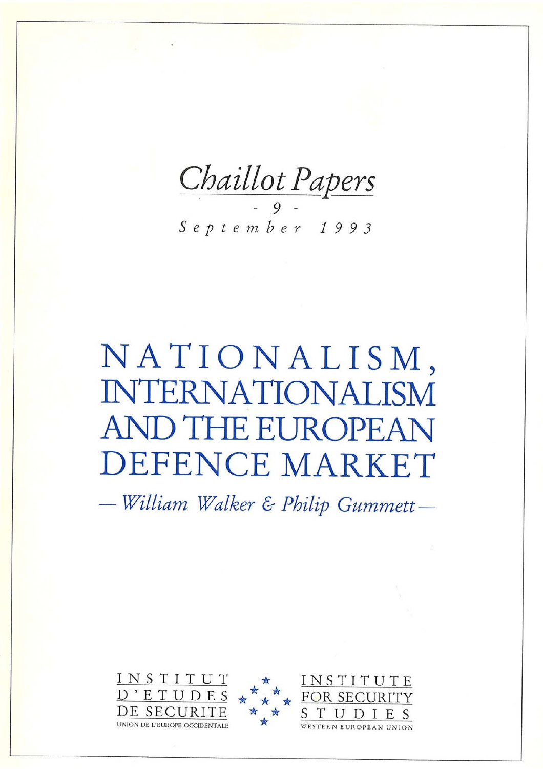Chaillot Papers

September 1993

# NATIONALISM, **INTERNATIONALISM** AND THE EUROPEAN **DEFENCE MARKET**

- William Walker & Philip Gummett-

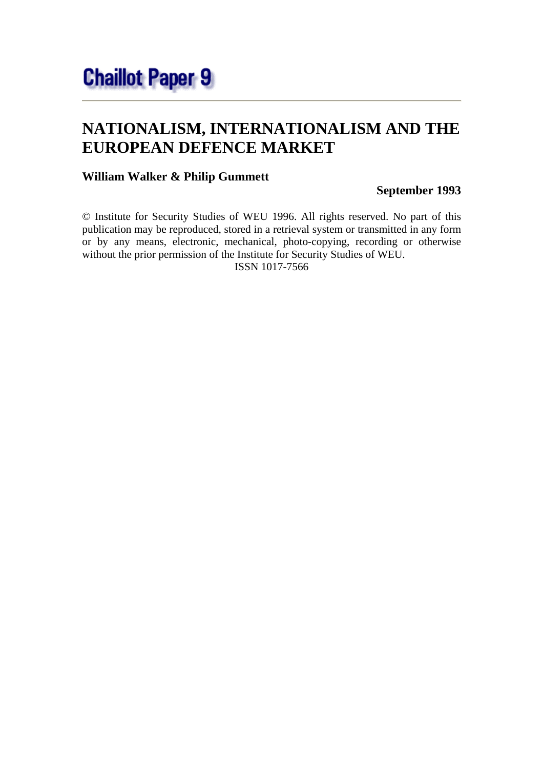# **NATIONALISM, INTERNATIONALISM AND THE EUROPEAN DEFENCE MARKET**

#### **William Walker & Philip Gummett**

#### **September 1993**

© Institute for Security Studies of WEU 1996. All rights reserved. No part of this publication may be reproduced, stored in a retrieval system or transmitted in any form or by any means, electronic, mechanical, photo-copying, recording or otherwise without the prior permission of the Institute for Security Studies of WEU. ISSN 1017-7566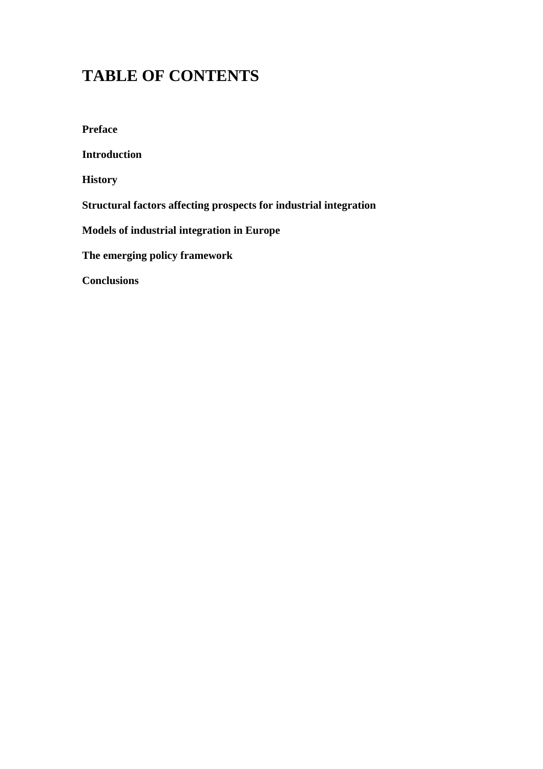# **TABLE OF CONTENTS**

**Preface Introduction History Structural factors affecting prospects for industrial integration Models of industrial integration in Europe The emerging policy framework Conclusions**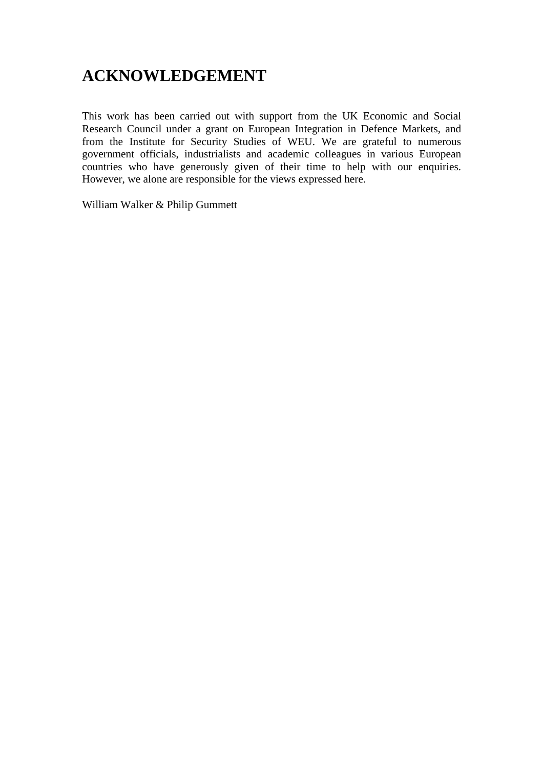## **ACKNOWLEDGEMENT**

This work has been carried out with support from the UK Economic and Social Research Council under a grant on European Integration in Defence Markets, and from the Institute for Security Studies of WEU. We are grateful to numerous government officials, industrialists and academic colleagues in various European countries who have generously given of their time to help with our enquiries. However, we alone are responsible for the views expressed here.

William Walker & Philip Gummett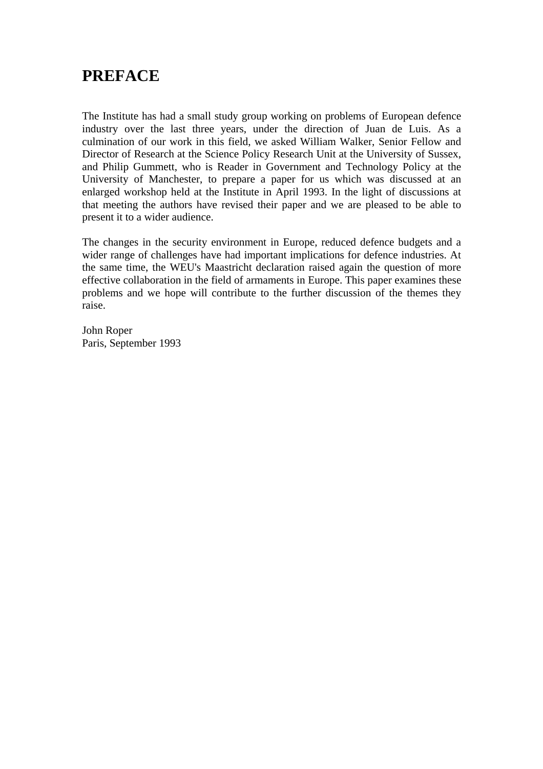### **PREFACE**

The Institute has had a small study group working on problems of European defence industry over the last three years, under the direction of Juan de Luis. As a culmination of our work in this field, we asked William Walker, Senior Fellow and Director of Research at the Science Policy Research Unit at the University of Sussex, and Philip Gummett, who is Reader in Government and Technology Policy at the University of Manchester, to prepare a paper for us which was discussed at an enlarged workshop held at the Institute in April 1993. In the light of discussions at that meeting the authors have revised their paper and we are pleased to be able to present it to a wider audience.

The changes in the security environment in Europe, reduced defence budgets and a wider range of challenges have had important implications for defence industries. At the same time, the WEU's Maastricht declaration raised again the question of more effective collaboration in the field of armaments in Europe. This paper examines these problems and we hope will contribute to the further discussion of the themes they raise.

John Roper Paris, September 1993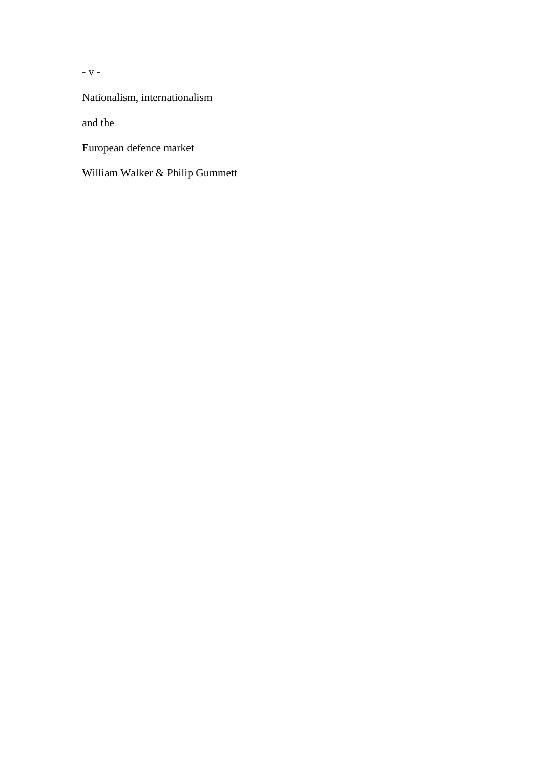- v -

Nationalism, internationalism

and the

European defence market

William Walker & Philip Gummett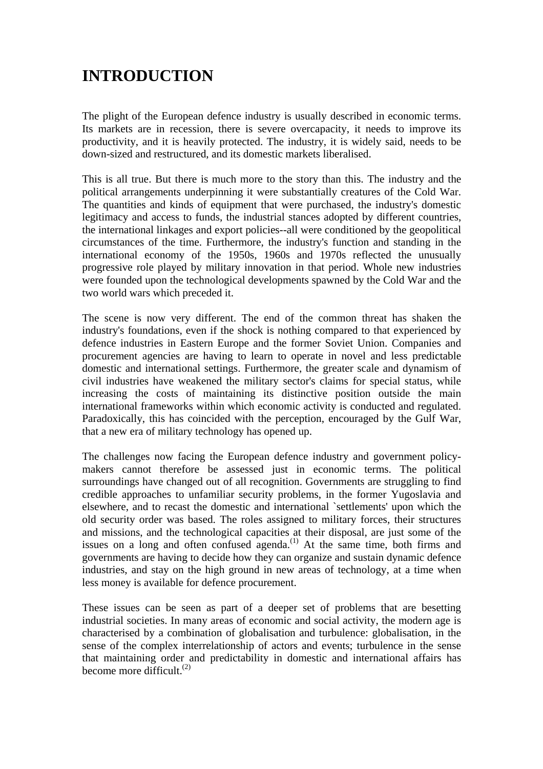# **INTRODUCTION**

The plight of the European defence industry is usually described in economic terms. Its markets are in recession, there is severe overcapacity, it needs to improve its productivity, and it is heavily protected. The industry, it is widely said, needs to be down-sized and restructured, and its domestic markets liberalised.

This is all true. But there is much more to the story than this. The industry and the political arrangements underpinning it were substantially creatures of the Cold War. The quantities and kinds of equipment that were purchased, the industry's domestic legitimacy and access to funds, the industrial stances adopted by different countries, the international linkages and export policies--all were conditioned by the geopolitical circumstances of the time. Furthermore, the industry's function and standing in the international economy of the 1950s, 1960s and 1970s reflected the unusually progressive role played by military innovation in that period. Whole new industries were founded upon the technological developments spawned by the Cold War and the two world wars which preceded it.

The scene is now very different. The end of the common threat has shaken the industry's foundations, even if the shock is nothing compared to that experienced by defence industries in Eastern Europe and the former Soviet Union. Companies and procurement agencies are having to learn to operate in novel and less predictable domestic and international settings. Furthermore, the greater scale and dynamism of civil industries have weakened the military sector's claims for special status, while increasing the costs of maintaining its distinctive position outside the main international frameworks within which economic activity is conducted and regulated. Paradoxically, this has coincided with the perception, encouraged by the Gulf War, that a new era of military technology has opened up.

The challenges now facing the European defence industry and government policymakers cannot therefore be assessed just in economic terms. The political surroundings have changed out of all recognition. Governments are struggling to find credible approaches to unfamiliar security problems, in the former Yugoslavia and elsewhere, and to recast the domestic and international `settlements' upon which the old security order was based. The roles assigned to military forces, their structures and missions, and the technological capacities at their disposal, are just some of the issues on a long and often confused agenda.<sup>(1)</sup> At the same time, both firms and governments are having to decide how they can organize and sustain dynamic defence industries, and stay on the high ground in new areas of technology, at a time when less money is available for defence procurement.

These issues can be seen as part of a deeper set of problems that are besetting industrial societies. In many areas of economic and social activity, the modern age is characterised by a combination of globalisation and turbulence: globalisation, in the sense of the complex interrelationship of actors and events; turbulence in the sense that maintaining order and predictability in domestic and international affairs has become more difficult. $(2)$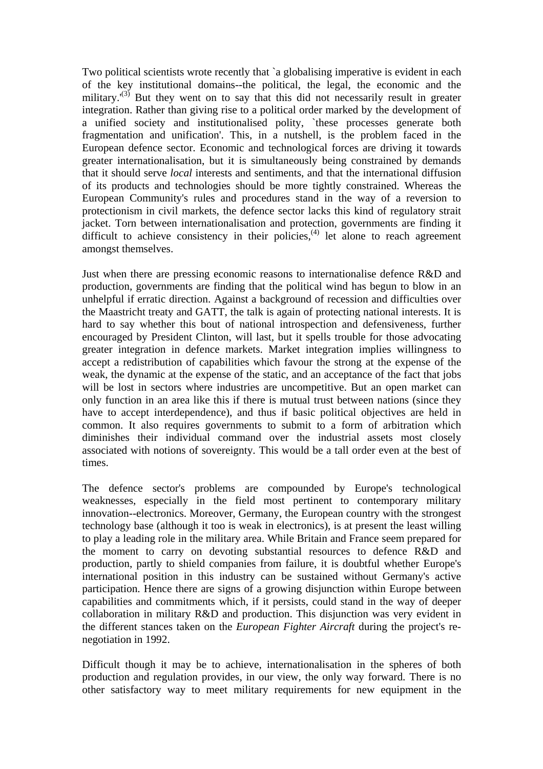Two political scientists wrote recently that `a globalising imperative is evident in each of the key institutional domains--the political, the legal, the economic and the military. $(3)$  But they went on to say that this did not necessarily result in greater integration. Rather than giving rise to a political order marked by the development of a unified society and institutionalised polity, `these processes generate both fragmentation and unification'. This, in a nutshell, is the problem faced in the European defence sector. Economic and technological forces are driving it towards greater internationalisation, but it is simultaneously being constrained by demands that it should serve *local* interests and sentiments, and that the international diffusion of its products and technologies should be more tightly constrained. Whereas the European Community's rules and procedures stand in the way of a reversion to protectionism in civil markets, the defence sector lacks this kind of regulatory strait jacket. Torn between internationalisation and protection, governments are finding it difficult to achieve consistency in their policies,<sup>(4)</sup> let alone to reach agreement amongst themselves.

Just when there are pressing economic reasons to internationalise defence R&D and production, governments are finding that the political wind has begun to blow in an unhelpful if erratic direction. Against a background of recession and difficulties over the Maastricht treaty and GATT, the talk is again of protecting national interests. It is hard to say whether this bout of national introspection and defensiveness, further encouraged by President Clinton, will last, but it spells trouble for those advocating greater integration in defence markets. Market integration implies willingness to accept a redistribution of capabilities which favour the strong at the expense of the weak, the dynamic at the expense of the static, and an acceptance of the fact that jobs will be lost in sectors where industries are uncompetitive. But an open market can only function in an area like this if there is mutual trust between nations (since they have to accept interdependence), and thus if basic political objectives are held in common. It also requires governments to submit to a form of arbitration which diminishes their individual command over the industrial assets most closely associated with notions of sovereignty. This would be a tall order even at the best of times.

The defence sector's problems are compounded by Europe's technological weaknesses, especially in the field most pertinent to contemporary military innovation--electronics. Moreover, Germany, the European country with the strongest technology base (although it too is weak in electronics), is at present the least willing to play a leading role in the military area. While Britain and France seem prepared for the moment to carry on devoting substantial resources to defence R&D and production, partly to shield companies from failure, it is doubtful whether Europe's international position in this industry can be sustained without Germany's active participation. Hence there are signs of a growing disjunction within Europe between capabilities and commitments which, if it persists, could stand in the way of deeper collaboration in military R&D and production. This disjunction was very evident in the different stances taken on the *European Fighter Aircraft* during the project's renegotiation in 1992.

Difficult though it may be to achieve, internationalisation in the spheres of both production and regulation provides, in our view, the only way forward. There is no other satisfactory way to meet military requirements for new equipment in the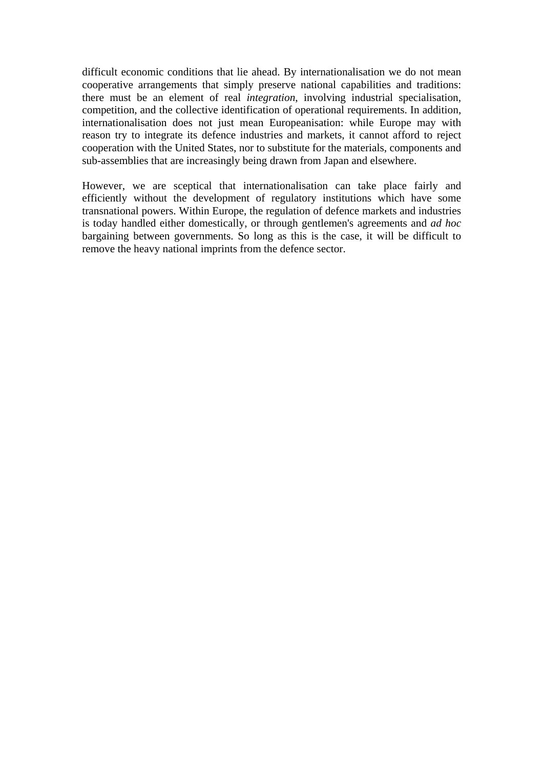difficult economic conditions that lie ahead. By internationalisation we do not mean cooperative arrangements that simply preserve national capabilities and traditions: there must be an element of real *integration*, involving industrial specialisation, competition, and the collective identification of operational requirements. In addition, internationalisation does not just mean Europeanisation: while Europe may with reason try to integrate its defence industries and markets, it cannot afford to reject cooperation with the United States, nor to substitute for the materials, components and sub-assemblies that are increasingly being drawn from Japan and elsewhere.

However, we are sceptical that internationalisation can take place fairly and efficiently without the development of regulatory institutions which have some transnational powers. Within Europe, the regulation of defence markets and industries is today handled either domestically, or through gentlemen's agreements and *ad hoc* bargaining between governments. So long as this is the case, it will be difficult to remove the heavy national imprints from the defence sector.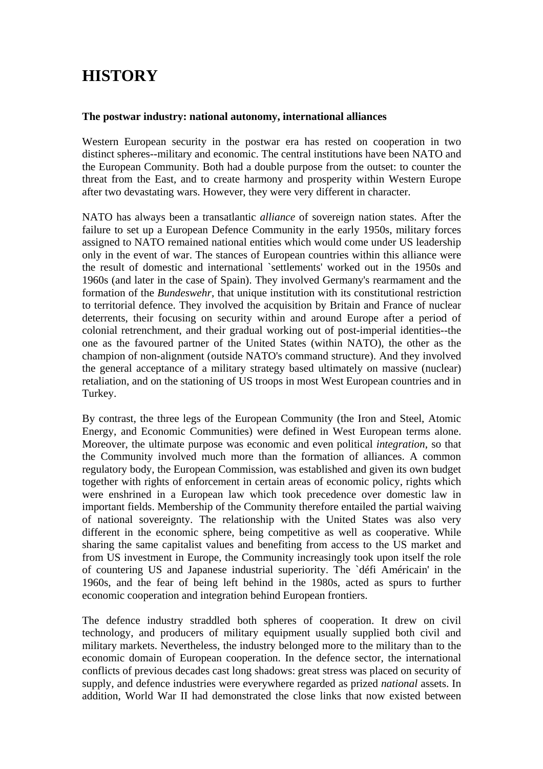# **HISTORY**

#### **The postwar industry: national autonomy, international alliances**

Western European security in the postwar era has rested on cooperation in two distinct spheres--military and economic. The central institutions have been NATO and the European Community. Both had a double purpose from the outset: to counter the threat from the East, and to create harmony and prosperity within Western Europe after two devastating wars. However, they were very different in character.

NATO has always been a transatlantic *alliance* of sovereign nation states. After the failure to set up a European Defence Community in the early 1950s, military forces assigned to NATO remained national entities which would come under US leadership only in the event of war. The stances of European countries within this alliance were the result of domestic and international `settlements' worked out in the 1950s and 1960s (and later in the case of Spain). They involved Germany's rearmament and the formation of the *Bundeswehr*, that unique institution with its constitutional restriction to territorial defence. They involved the acquisition by Britain and France of nuclear deterrents, their focusing on security within and around Europe after a period of colonial retrenchment, and their gradual working out of post-imperial identities--the one as the favoured partner of the United States (within NATO), the other as the champion of non-alignment (outside NATO's command structure). And they involved the general acceptance of a military strategy based ultimately on massive (nuclear) retaliation, and on the stationing of US troops in most West European countries and in Turkey.

By contrast, the three legs of the European Community (the Iron and Steel, Atomic Energy, and Economic Communities) were defined in West European terms alone. Moreover, the ultimate purpose was economic and even political *integration*, so that the Community involved much more than the formation of alliances. A common regulatory body, the European Commission, was established and given its own budget together with rights of enforcement in certain areas of economic policy, rights which were enshrined in a European law which took precedence over domestic law in important fields. Membership of the Community therefore entailed the partial waiving of national sovereignty. The relationship with the United States was also very different in the economic sphere, being competitive as well as cooperative. While sharing the same capitalist values and benefiting from access to the US market and from US investment in Europe, the Community increasingly took upon itself the role of countering US and Japanese industrial superiority. The `défi Américain' in the 1960s, and the fear of being left behind in the 1980s, acted as spurs to further economic cooperation and integration behind European frontiers.

The defence industry straddled both spheres of cooperation. It drew on civil technology, and producers of military equipment usually supplied both civil and military markets. Nevertheless, the industry belonged more to the military than to the economic domain of European cooperation. In the defence sector, the international conflicts of previous decades cast long shadows: great stress was placed on security of supply, and defence industries were everywhere regarded as prized *national* assets. In addition, World War II had demonstrated the close links that now existed between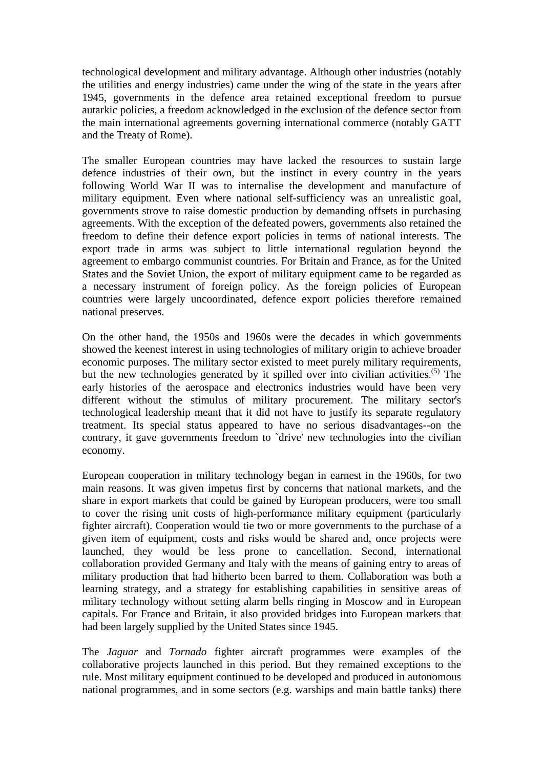technological development and military advantage. Although other industries (notably the utilities and energy industries) came under the wing of the state in the years after 1945, governments in the defence area retained exceptional freedom to pursue autarkic policies, a freedom acknowledged in the exclusion of the defence sector from the main international agreements governing international commerce (notably GATT and the Treaty of Rome).

The smaller European countries may have lacked the resources to sustain large defence industries of their own, but the instinct in every country in the years following World War II was to internalise the development and manufacture of military equipment. Even where national self-sufficiency was an unrealistic goal, governments strove to raise domestic production by demanding offsets in purchasing agreements. With the exception of the defeated powers, governments also retained the freedom to define their defence export policies in terms of national interests. The export trade in arms was subject to little international regulation beyond the agreement to embargo communist countries. For Britain and France, as for the United States and the Soviet Union, the export of military equipment came to be regarded as a necessary instrument of foreign policy. As the foreign policies of European countries were largely uncoordinated, defence export policies therefore remained national preserves.

On the other hand, the 1950s and 1960s were the decades in which governments showed the keenest interest in using technologies of military origin to achieve broader economic purposes. The military sector existed to meet purely military requirements, but the new technologies generated by it spilled over into civilian activities.<sup> $(5)$ </sup> The early histories of the aerospace and electronics industries would have been very different without the stimulus of military procurement. The military sector's technological leadership meant that it did not have to justify its separate regulatory treatment. Its special status appeared to have no serious disadvantages--on the contrary, it gave governments freedom to `drive' new technologies into the civilian economy.

European cooperation in military technology began in earnest in the 1960s, for two main reasons. It was given impetus first by concerns that national markets, and the share in export markets that could be gained by European producers, were too small to cover the rising unit costs of high-performance military equipment (particularly fighter aircraft). Cooperation would tie two or more governments to the purchase of a given item of equipment, costs and risks would be shared and, once projects were launched, they would be less prone to cancellation. Second, international collaboration provided Germany and Italy with the means of gaining entry to areas of military production that had hitherto been barred to them. Collaboration was both a learning strategy, and a strategy for establishing capabilities in sensitive areas of military technology without setting alarm bells ringing in Moscow and in European capitals. For France and Britain, it also provided bridges into European markets that had been largely supplied by the United States since 1945.

The *Jaguar* and *Tornado* fighter aircraft programmes were examples of the collaborative projects launched in this period. But they remained exceptions to the rule. Most military equipment continued to be developed and produced in autonomous national programmes, and in some sectors (e.g. warships and main battle tanks) there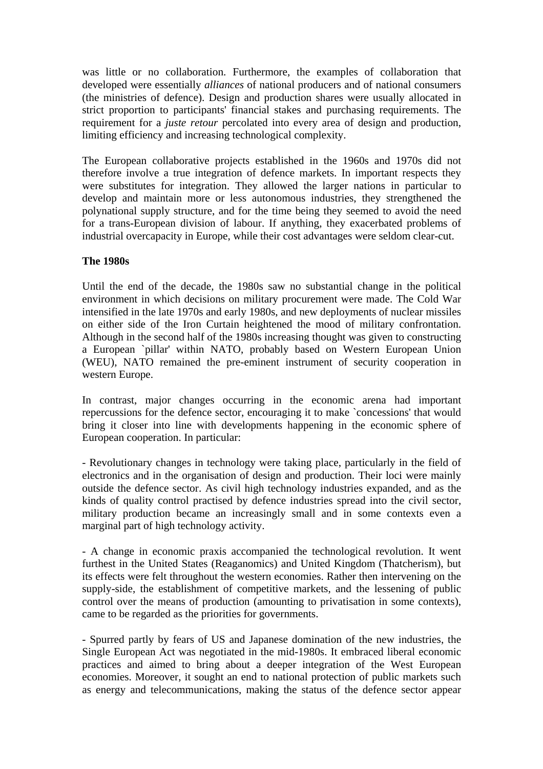was little or no collaboration. Furthermore, the examples of collaboration that developed were essentially *alliances* of national producers and of national consumers (the ministries of defence). Design and production shares were usually allocated in strict proportion to participants' financial stakes and purchasing requirements. The requirement for a *juste retour* percolated into every area of design and production, limiting efficiency and increasing technological complexity.

The European collaborative projects established in the 1960s and 1970s did not therefore involve a true integration of defence markets. In important respects they were substitutes for integration. They allowed the larger nations in particular to develop and maintain more or less autonomous industries, they strengthened the polynational supply structure, and for the time being they seemed to avoid the need for a trans-European division of labour. If anything, they exacerbated problems of industrial overcapacity in Europe, while their cost advantages were seldom clear-cut.

#### **The 1980s**

Until the end of the decade, the 1980s saw no substantial change in the political environment in which decisions on military procurement were made. The Cold War intensified in the late 1970s and early 1980s, and new deployments of nuclear missiles on either side of the Iron Curtain heightened the mood of military confrontation. Although in the second half of the 1980s increasing thought was given to constructing a European `pillar' within NATO, probably based on Western European Union (WEU), NATO remained the pre-eminent instrument of security cooperation in western Europe.

In contrast, major changes occurring in the economic arena had important repercussions for the defence sector, encouraging it to make `concessions' that would bring it closer into line with developments happening in the economic sphere of European cooperation. In particular:

- Revolutionary changes in technology were taking place, particularly in the field of electronics and in the organisation of design and production. Their loci were mainly outside the defence sector. As civil high technology industries expanded, and as the kinds of quality control practised by defence industries spread into the civil sector, military production became an increasingly small and in some contexts even a marginal part of high technology activity.

- A change in economic praxis accompanied the technological revolution. It went furthest in the United States (Reaganomics) and United Kingdom (Thatcherism), but its effects were felt throughout the western economies. Rather then intervening on the supply-side, the establishment of competitive markets, and the lessening of public control over the means of production (amounting to privatisation in some contexts), came to be regarded as the priorities for governments.

- Spurred partly by fears of US and Japanese domination of the new industries, the Single European Act was negotiated in the mid-1980s. It embraced liberal economic practices and aimed to bring about a deeper integration of the West European economies. Moreover, it sought an end to national protection of public markets such as energy and telecommunications, making the status of the defence sector appear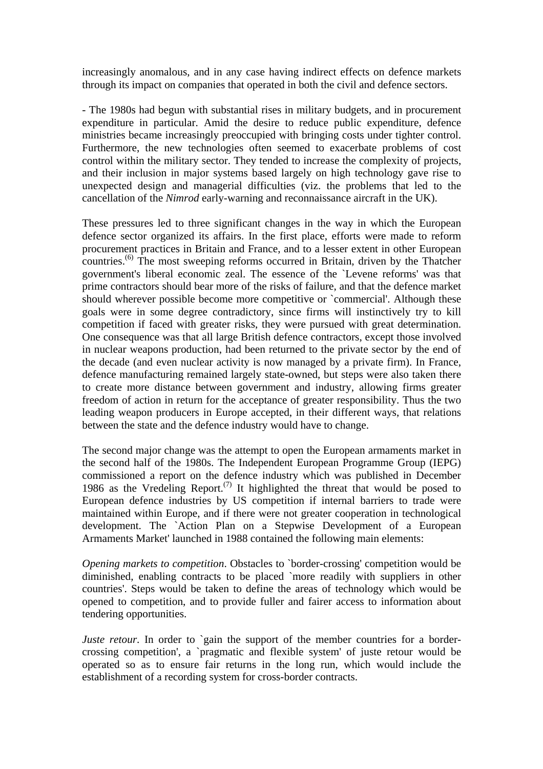increasingly anomalous, and in any case having indirect effects on defence markets through its impact on companies that operated in both the civil and defence sectors.

- The 1980s had begun with substantial rises in military budgets, and in procurement expenditure in particular. Amid the desire to reduce public expenditure, defence ministries became increasingly preoccupied with bringing costs under tighter control. Furthermore, the new technologies often seemed to exacerbate problems of cost control within the military sector. They tended to increase the complexity of projects, and their inclusion in major systems based largely on high technology gave rise to unexpected design and managerial difficulties (viz. the problems that led to the cancellation of the *Nimrod* early-warning and reconnaissance aircraft in the UK).

These pressures led to three significant changes in the way in which the European defence sector organized its affairs. In the first place, efforts were made to reform procurement practices in Britain and France, and to a lesser extent in other European countries.(6) The most sweeping reforms occurred in Britain, driven by the Thatcher government's liberal economic zeal. The essence of the `Levene reforms' was that prime contractors should bear more of the risks of failure, and that the defence market should wherever possible become more competitive or `commercial'. Although these goals were in some degree contradictory, since firms will instinctively try to kill competition if faced with greater risks, they were pursued with great determination. One consequence was that all large British defence contractors, except those involved in nuclear weapons production, had been returned to the private sector by the end of the decade (and even nuclear activity is now managed by a private firm). In France, defence manufacturing remained largely state-owned, but steps were also taken there to create more distance between government and industry, allowing firms greater freedom of action in return for the acceptance of greater responsibility. Thus the two leading weapon producers in Europe accepted, in their different ways, that relations between the state and the defence industry would have to change.

The second major change was the attempt to open the European armaments market in the second half of the 1980s. The Independent European Programme Group (IEPG) commissioned a report on the defence industry which was published in December 1986 as the Vredeling Report.<sup>(7)</sup> It highlighted the threat that would be posed to European defence industries by US competition if internal barriers to trade were maintained within Europe, and if there were not greater cooperation in technological development. The `Action Plan on a Stepwise Development of a European Armaments Market' launched in 1988 contained the following main elements:

*Opening markets to competition*. Obstacles to `border-crossing' competition would be diminished, enabling contracts to be placed `more readily with suppliers in other countries'. Steps would be taken to define the areas of technology which would be opened to competition, and to provide fuller and fairer access to information about tendering opportunities.

*Juste retour*. In order to 'gain the support of the member countries for a bordercrossing competition', a `pragmatic and flexible system' of juste retour would be operated so as to ensure fair returns in the long run, which would include the establishment of a recording system for cross-border contracts.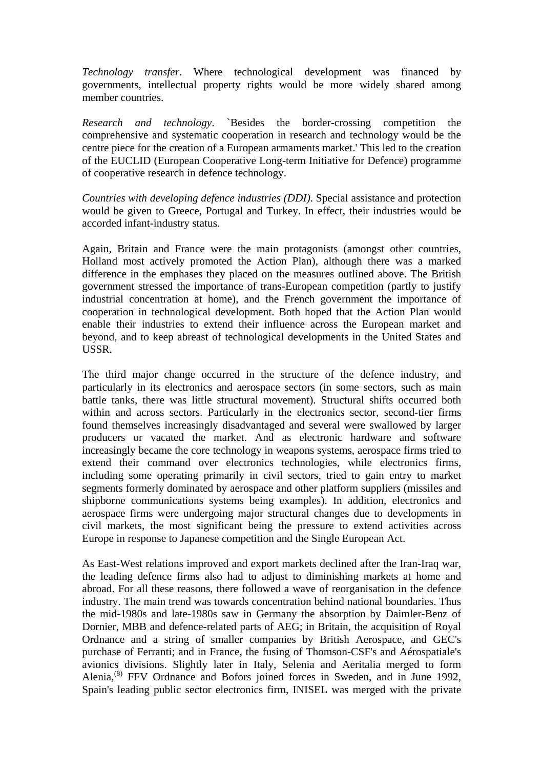*Technology transfer*. Where technological development was financed by governments, intellectual property rights would be more widely shared among member countries.

*Research and technology*. `Besides the border-crossing competition the comprehensive and systematic cooperation in research and technology would be the centre piece for the creation of a European armaments market.' This led to the creation of the EUCLID (European Cooperative Long-term Initiative for Defence) programme of cooperative research in defence technology.

*Countries with developing defence industries (DDI)*. Special assistance and protection would be given to Greece, Portugal and Turkey. In effect, their industries would be accorded infant-industry status.

Again, Britain and France were the main protagonists (amongst other countries, Holland most actively promoted the Action Plan), although there was a marked difference in the emphases they placed on the measures outlined above. The British government stressed the importance of trans-European competition (partly to justify industrial concentration at home), and the French government the importance of cooperation in technological development. Both hoped that the Action Plan would enable their industries to extend their influence across the European market and beyond, and to keep abreast of technological developments in the United States and USSR.

The third major change occurred in the structure of the defence industry, and particularly in its electronics and aerospace sectors (in some sectors, such as main battle tanks, there was little structural movement). Structural shifts occurred both within and across sectors. Particularly in the electronics sector, second-tier firms found themselves increasingly disadvantaged and several were swallowed by larger producers or vacated the market. And as electronic hardware and software increasingly became the core technology in weapons systems, aerospace firms tried to extend their command over electronics technologies, while electronics firms, including some operating primarily in civil sectors, tried to gain entry to market segments formerly dominated by aerospace and other platform suppliers (missiles and shipborne communications systems being examples). In addition, electronics and aerospace firms were undergoing major structural changes due to developments in civil markets, the most significant being the pressure to extend activities across Europe in response to Japanese competition and the Single European Act.

As East-West relations improved and export markets declined after the Iran-Iraq war, the leading defence firms also had to adjust to diminishing markets at home and abroad. For all these reasons, there followed a wave of reorganisation in the defence industry. The main trend was towards concentration behind national boundaries. Thus the mid-1980s and late-1980s saw in Germany the absorption by Daimler-Benz of Dornier, MBB and defence-related parts of AEG; in Britain, the acquisition of Royal Ordnance and a string of smaller companies by British Aerospace, and GEC's purchase of Ferranti; and in France, the fusing of Thomson-CSF's and Aérospatiale's avionics divisions. Slightly later in Italy, Selenia and Aeritalia merged to form Alenia,<sup>(8)</sup> FFV Ordnance and Bofors joined forces in Sweden, and in June 1992, Spain's leading public sector electronics firm, INISEL was merged with the private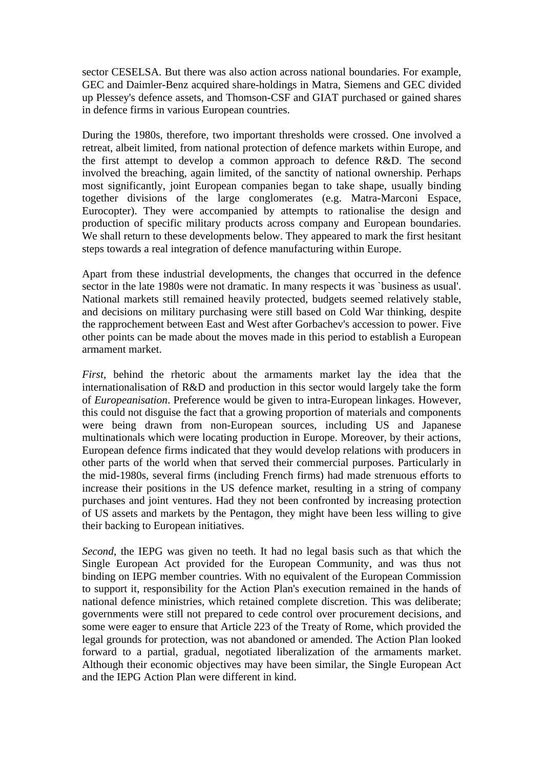sector CESELSA. But there was also action across national boundaries. For example, GEC and Daimler-Benz acquired share-holdings in Matra, Siemens and GEC divided up Plessey's defence assets, and Thomson-CSF and GIAT purchased or gained shares in defence firms in various European countries.

During the 1980s, therefore, two important thresholds were crossed. One involved a retreat, albeit limited, from national protection of defence markets within Europe, and the first attempt to develop a common approach to defence R&D. The second involved the breaching, again limited, of the sanctity of national ownership. Perhaps most significantly, joint European companies began to take shape, usually binding together divisions of the large conglomerates (e.g. Matra-Marconi Espace, Eurocopter). They were accompanied by attempts to rationalise the design and production of specific military products across company and European boundaries. We shall return to these developments below. They appeared to mark the first hesitant steps towards a real integration of defence manufacturing within Europe.

Apart from these industrial developments, the changes that occurred in the defence sector in the late 1980s were not dramatic. In many respects it was `business as usual'. National markets still remained heavily protected, budgets seemed relatively stable, and decisions on military purchasing were still based on Cold War thinking, despite the rapprochement between East and West after Gorbachev's accession to power. Five other points can be made about the moves made in this period to establish a European armament market.

*First*, behind the rhetoric about the armaments market lay the idea that the internationalisation of R&D and production in this sector would largely take the form of *Europeanisation*. Preference would be given to intra-European linkages. However, this could not disguise the fact that a growing proportion of materials and components were being drawn from non-European sources, including US and Japanese multinationals which were locating production in Europe. Moreover, by their actions, European defence firms indicated that they would develop relations with producers in other parts of the world when that served their commercial purposes. Particularly in the mid-1980s, several firms (including French firms) had made strenuous efforts to increase their positions in the US defence market, resulting in a string of company purchases and joint ventures. Had they not been confronted by increasing protection of US assets and markets by the Pentagon, they might have been less willing to give their backing to European initiatives.

*Second*, the IEPG was given no teeth. It had no legal basis such as that which the Single European Act provided for the European Community, and was thus not binding on IEPG member countries. With no equivalent of the European Commission to support it, responsibility for the Action Plan's execution remained in the hands of national defence ministries, which retained complete discretion. This was deliberate; governments were still not prepared to cede control over procurement decisions, and some were eager to ensure that Article 223 of the Treaty of Rome, which provided the legal grounds for protection, was not abandoned or amended. The Action Plan looked forward to a partial, gradual, negotiated liberalization of the armaments market. Although their economic objectives may have been similar, the Single European Act and the IEPG Action Plan were different in kind.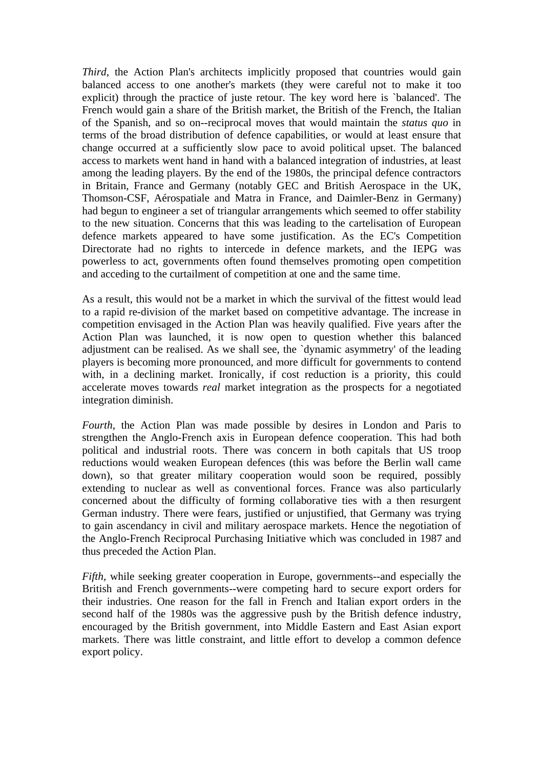*Third*, the Action Plan's architects implicitly proposed that countries would gain balanced access to one another's markets (they were careful not to make it too explicit) through the practice of juste retour. The key word here is `balanced'. The French would gain a share of the British market, the British of the French, the Italian of the Spanish, and so on--reciprocal moves that would maintain the *status quo* in terms of the broad distribution of defence capabilities, or would at least ensure that change occurred at a sufficiently slow pace to avoid political upset. The balanced access to markets went hand in hand with a balanced integration of industries, at least among the leading players. By the end of the 1980s, the principal defence contractors in Britain, France and Germany (notably GEC and British Aerospace in the UK, Thomson-CSF, Aérospatiale and Matra in France, and Daimler-Benz in Germany) had begun to engineer a set of triangular arrangements which seemed to offer stability to the new situation. Concerns that this was leading to the cartelisation of European defence markets appeared to have some justification. As the EC's Competition Directorate had no rights to intercede in defence markets, and the IEPG was powerless to act, governments often found themselves promoting open competition and acceding to the curtailment of competition at one and the same time.

As a result, this would not be a market in which the survival of the fittest would lead to a rapid re-division of the market based on competitive advantage. The increase in competition envisaged in the Action Plan was heavily qualified. Five years after the Action Plan was launched, it is now open to question whether this balanced adjustment can be realised. As we shall see, the `dynamic asymmetry' of the leading players is becoming more pronounced, and more difficult for governments to contend with, in a declining market. Ironically, if cost reduction is a priority, this could accelerate moves towards *real* market integration as the prospects for a negotiated integration diminish.

*Fourth*, the Action Plan was made possible by desires in London and Paris to strengthen the Anglo-French axis in European defence cooperation. This had both political and industrial roots. There was concern in both capitals that US troop reductions would weaken European defences (this was before the Berlin wall came down), so that greater military cooperation would soon be required, possibly extending to nuclear as well as conventional forces. France was also particularly concerned about the difficulty of forming collaborative ties with a then resurgent German industry. There were fears, justified or unjustified, that Germany was trying to gain ascendancy in civil and military aerospace markets. Hence the negotiation of the Anglo-French Reciprocal Purchasing Initiative which was concluded in 1987 and thus preceded the Action Plan.

*Fifth*, while seeking greater cooperation in Europe, governments--and especially the British and French governments--were competing hard to secure export orders for their industries. One reason for the fall in French and Italian export orders in the second half of the 1980s was the aggressive push by the British defence industry, encouraged by the British government, into Middle Eastern and East Asian export markets. There was little constraint, and little effort to develop a common defence export policy.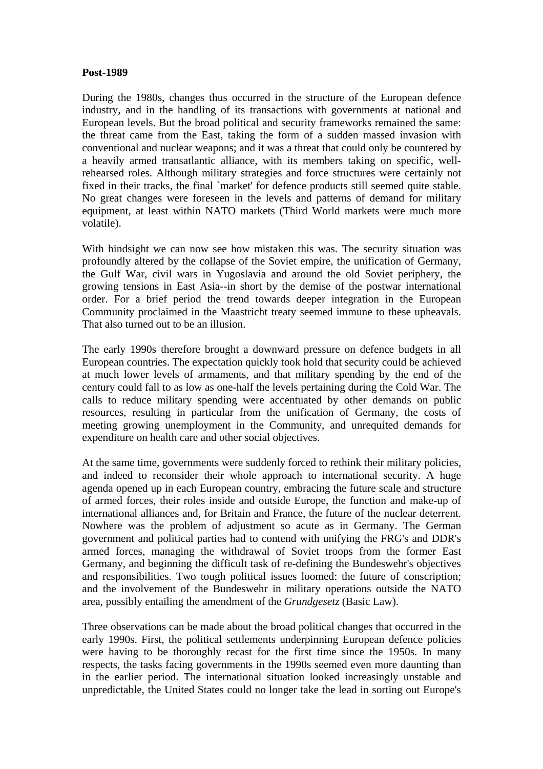#### **Post-1989**

During the 1980s, changes thus occurred in the structure of the European defence industry, and in the handling of its transactions with governments at national and European levels. But the broad political and security frameworks remained the same: the threat came from the East, taking the form of a sudden massed invasion with conventional and nuclear weapons; and it was a threat that could only be countered by a heavily armed transatlantic alliance, with its members taking on specific, wellrehearsed roles. Although military strategies and force structures were certainly not fixed in their tracks, the final `market' for defence products still seemed quite stable. No great changes were foreseen in the levels and patterns of demand for military equipment, at least within NATO markets (Third World markets were much more volatile).

With hindsight we can now see how mistaken this was. The security situation was profoundly altered by the collapse of the Soviet empire, the unification of Germany, the Gulf War, civil wars in Yugoslavia and around the old Soviet periphery, the growing tensions in East Asia--in short by the demise of the postwar international order. For a brief period the trend towards deeper integration in the European Community proclaimed in the Maastricht treaty seemed immune to these upheavals. That also turned out to be an illusion.

The early 1990s therefore brought a downward pressure on defence budgets in all European countries. The expectation quickly took hold that security could be achieved at much lower levels of armaments, and that military spending by the end of the century could fall to as low as one-half the levels pertaining during the Cold War. The calls to reduce military spending were accentuated by other demands on public resources, resulting in particular from the unification of Germany, the costs of meeting growing unemployment in the Community, and unrequited demands for expenditure on health care and other social objectives.

At the same time, governments were suddenly forced to rethink their military policies, and indeed to reconsider their whole approach to international security. A huge agenda opened up in each European country, embracing the future scale and structure of armed forces, their roles inside and outside Europe, the function and make-up of international alliances and, for Britain and France, the future of the nuclear deterrent. Nowhere was the problem of adjustment so acute as in Germany. The German government and political parties had to contend with unifying the FRG's and DDR's armed forces, managing the withdrawal of Soviet troops from the former East Germany, and beginning the difficult task of re-defining the Bundeswehr's objectives and responsibilities. Two tough political issues loomed: the future of conscription; and the involvement of the Bundeswehr in military operations outside the NATO area, possibly entailing the amendment of the *Grundgesetz* (Basic Law).

Three observations can be made about the broad political changes that occurred in the early 1990s. First, the political settlements underpinning European defence policies were having to be thoroughly recast for the first time since the 1950s. In many respects, the tasks facing governments in the 1990s seemed even more daunting than in the earlier period. The international situation looked increasingly unstable and unpredictable, the United States could no longer take the lead in sorting out Europe's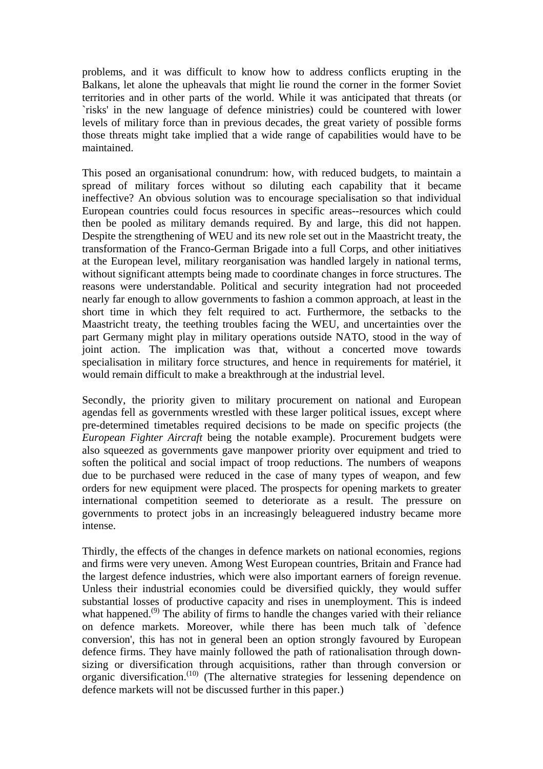problems, and it was difficult to know how to address conflicts erupting in the Balkans, let alone the upheavals that might lie round the corner in the former Soviet territories and in other parts of the world. While it was anticipated that threats (or `risks' in the new language of defence ministries) could be countered with lower levels of military force than in previous decades, the great variety of possible forms those threats might take implied that a wide range of capabilities would have to be maintained.

This posed an organisational conundrum: how, with reduced budgets, to maintain a spread of military forces without so diluting each capability that it became ineffective? An obvious solution was to encourage specialisation so that individual European countries could focus resources in specific areas--resources which could then be pooled as military demands required. By and large, this did not happen. Despite the strengthening of WEU and its new role set out in the Maastricht treaty, the transformation of the Franco-German Brigade into a full Corps, and other initiatives at the European level, military reorganisation was handled largely in national terms, without significant attempts being made to coordinate changes in force structures. The reasons were understandable. Political and security integration had not proceeded nearly far enough to allow governments to fashion a common approach, at least in the short time in which they felt required to act. Furthermore, the setbacks to the Maastricht treaty, the teething troubles facing the WEU, and uncertainties over the part Germany might play in military operations outside NATO, stood in the way of joint action. The implication was that, without a concerted move towards specialisation in military force structures, and hence in requirements for matériel, it would remain difficult to make a breakthrough at the industrial level.

Secondly, the priority given to military procurement on national and European agendas fell as governments wrestled with these larger political issues, except where pre-determined timetables required decisions to be made on specific projects (the *European Fighter Aircraft* being the notable example). Procurement budgets were also squeezed as governments gave manpower priority over equipment and tried to soften the political and social impact of troop reductions. The numbers of weapons due to be purchased were reduced in the case of many types of weapon, and few orders for new equipment were placed. The prospects for opening markets to greater international competition seemed to deteriorate as a result. The pressure on governments to protect jobs in an increasingly beleaguered industry became more intense.

Thirdly, the effects of the changes in defence markets on national economies, regions and firms were very uneven. Among West European countries, Britain and France had the largest defence industries, which were also important earners of foreign revenue. Unless their industrial economies could be diversified quickly, they would suffer substantial losses of productive capacity and rises in unemployment. This is indeed what happened.<sup> $(9)$ </sup> The ability of firms to handle the changes varied with their reliance on defence markets. Moreover, while there has been much talk of `defence conversion', this has not in general been an option strongly favoured by European defence firms. They have mainly followed the path of rationalisation through downsizing or diversification through acquisitions, rather than through conversion or organic diversification.<sup>(10)</sup> (The alternative strategies for lessening dependence on defence markets will not be discussed further in this paper.)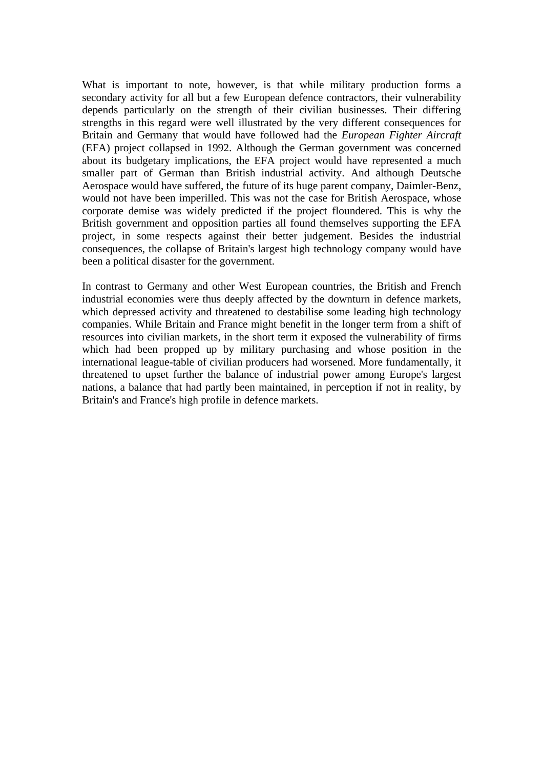What is important to note, however, is that while military production forms a secondary activity for all but a few European defence contractors, their vulnerability depends particularly on the strength of their civilian businesses. Their differing strengths in this regard were well illustrated by the very different consequences for Britain and Germany that would have followed had the *European Fighter Aircraft*  (EFA) project collapsed in 1992. Although the German government was concerned about its budgetary implications, the EFA project would have represented a much smaller part of German than British industrial activity. And although Deutsche Aerospace would have suffered, the future of its huge parent company, Daimler-Benz, would not have been imperilled. This was not the case for British Aerospace, whose corporate demise was widely predicted if the project floundered. This is why the British government and opposition parties all found themselves supporting the EFA project, in some respects against their better judgement. Besides the industrial consequences, the collapse of Britain's largest high technology company would have been a political disaster for the government.

In contrast to Germany and other West European countries, the British and French industrial economies were thus deeply affected by the downturn in defence markets, which depressed activity and threatened to destabilise some leading high technology companies. While Britain and France might benefit in the longer term from a shift of resources into civilian markets, in the short term it exposed the vulnerability of firms which had been propped up by military purchasing and whose position in the international league-table of civilian producers had worsened. More fundamentally, it threatened to upset further the balance of industrial power among Europe's largest nations, a balance that had partly been maintained, in perception if not in reality, by Britain's and France's high profile in defence markets.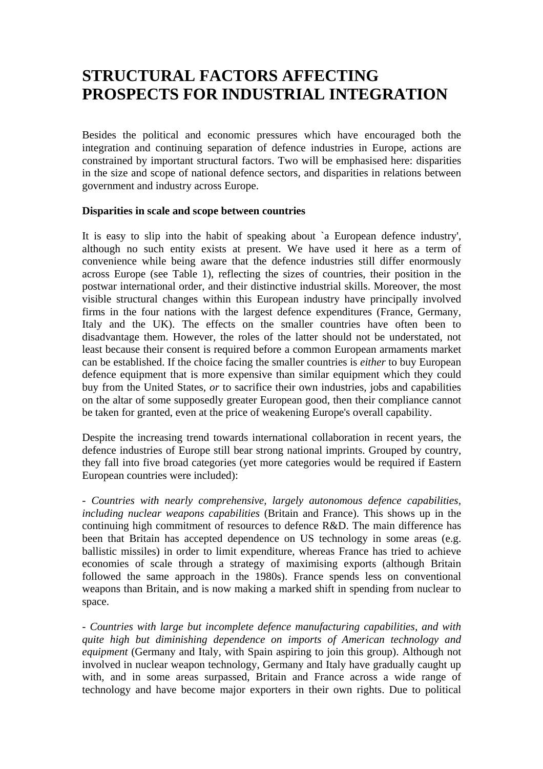### **STRUCTURAL FACTORS AFFECTING PROSPECTS FOR INDUSTRIAL INTEGRATION**

Besides the political and economic pressures which have encouraged both the integration and continuing separation of defence industries in Europe, actions are constrained by important structural factors. Two will be emphasised here: disparities in the size and scope of national defence sectors, and disparities in relations between government and industry across Europe.

#### **Disparities in scale and scope between countries**

It is easy to slip into the habit of speaking about `a European defence industry', although no such entity exists at present. We have used it here as a term of convenience while being aware that the defence industries still differ enormously across Europe (see Table 1), reflecting the sizes of countries, their position in the postwar international order, and their distinctive industrial skills. Moreover, the most visible structural changes within this European industry have principally involved firms in the four nations with the largest defence expenditures (France, Germany, Italy and the UK). The effects on the smaller countries have often been to disadvantage them. However, the roles of the latter should not be understated, not least because their consent is required before a common European armaments market can be established. If the choice facing the smaller countries is *either* to buy European defence equipment that is more expensive than similar equipment which they could buy from the United States, *or* to sacrifice their own industries, jobs and capabilities on the altar of some supposedly greater European good, then their compliance cannot be taken for granted, even at the price of weakening Europe's overall capability.

Despite the increasing trend towards international collaboration in recent years, the defence industries of Europe still bear strong national imprints. Grouped by country, they fall into five broad categories (yet more categories would be required if Eastern European countries were included):

- *Countries with nearly comprehensive, largely autonomous defence capabilities, including nuclear weapons capabilities* (Britain and France). This shows up in the continuing high commitment of resources to defence R&D. The main difference has been that Britain has accepted dependence on US technology in some areas (e.g. ballistic missiles) in order to limit expenditure, whereas France has tried to achieve economies of scale through a strategy of maximising exports (although Britain followed the same approach in the 1980s). France spends less on conventional weapons than Britain, and is now making a marked shift in spending from nuclear to space.

- *Countries with large but incomplete defence manufacturing capabilities, and with quite high but diminishing dependence on imports of American technology and equipment* (Germany and Italy, with Spain aspiring to join this group). Although not involved in nuclear weapon technology, Germany and Italy have gradually caught up with, and in some areas surpassed, Britain and France across a wide range of technology and have become major exporters in their own rights. Due to political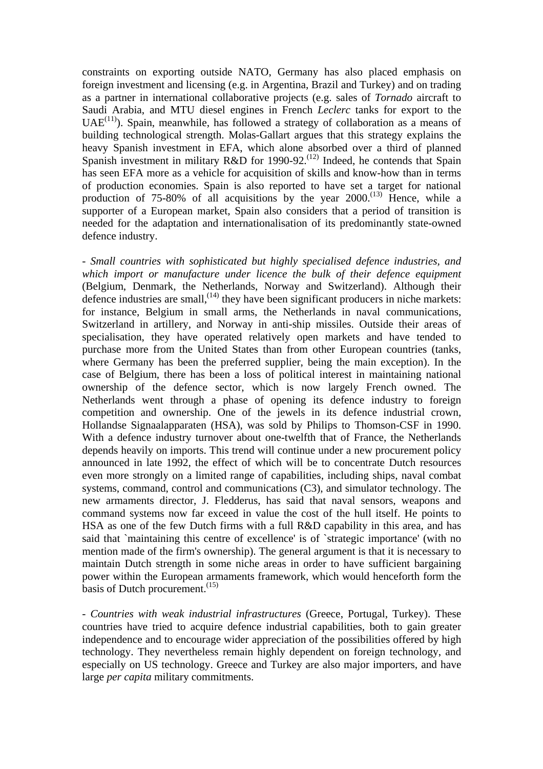constraints on exporting outside NATO, Germany has also placed emphasis on foreign investment and licensing (e.g. in Argentina, Brazil and Turkey) and on trading as a partner in international collaborative projects (e.g. sales of *Tornado* aircraft to Saudi Arabia, and MTU diesel engines in French *Leclerc* tanks for export to the UAE<sup> $(11)$ </sup>). Spain, meanwhile, has followed a strategy of collaboration as a means of building technological strength. Molas-Gallart argues that this strategy explains the heavy Spanish investment in EFA, which alone absorbed over a third of planned Spanish investment in military R&D for 1990-92.<sup>(12)</sup> Indeed, he contends that Spain has seen EFA more as a vehicle for acquisition of skills and know-how than in terms of production economies. Spain is also reported to have set a target for national production of 75-80% of all acquisitions by the year  $2000$ .<sup>(13)</sup> Hence, while a supporter of a European market, Spain also considers that a period of transition is needed for the adaptation and internationalisation of its predominantly state-owned defence industry.

- *Small countries with sophisticated but highly specialised defence industries, and which import or manufacture under licence the bulk of their defence equipment* (Belgium, Denmark, the Netherlands, Norway and Switzerland). Although their defence industries are small,  $(14)$  they have been significant producers in niche markets: for instance, Belgium in small arms, the Netherlands in naval communications, Switzerland in artillery, and Norway in anti-ship missiles. Outside their areas of specialisation, they have operated relatively open markets and have tended to purchase more from the United States than from other European countries (tanks, where Germany has been the preferred supplier, being the main exception). In the case of Belgium, there has been a loss of political interest in maintaining national ownership of the defence sector, which is now largely French owned. The Netherlands went through a phase of opening its defence industry to foreign competition and ownership. One of the jewels in its defence industrial crown, Hollandse Signaalapparaten (HSA), was sold by Philips to Thomson-CSF in 1990. With a defence industry turnover about one-twelfth that of France, the Netherlands depends heavily on imports. This trend will continue under a new procurement policy announced in late 1992, the effect of which will be to concentrate Dutch resources even more strongly on a limited range of capabilities, including ships, naval combat systems, command, control and communications (C3), and simulator technology. The new armaments director, J. Fledderus, has said that naval sensors, weapons and command systems now far exceed in value the cost of the hull itself. He points to HSA as one of the few Dutch firms with a full R&D capability in this area, and has said that `maintaining this centre of excellence' is of `strategic importance' (with no mention made of the firm's ownership). The general argument is that it is necessary to maintain Dutch strength in some niche areas in order to have sufficient bargaining power within the European armaments framework, which would henceforth form the basis of Dutch procurement. $(15)$ 

- *Countries with weak industrial infrastructures* (Greece, Portugal, Turkey). These countries have tried to acquire defence industrial capabilities, both to gain greater independence and to encourage wider appreciation of the possibilities offered by high technology. They nevertheless remain highly dependent on foreign technology, and especially on US technology. Greece and Turkey are also major importers, and have large *per capita* military commitments.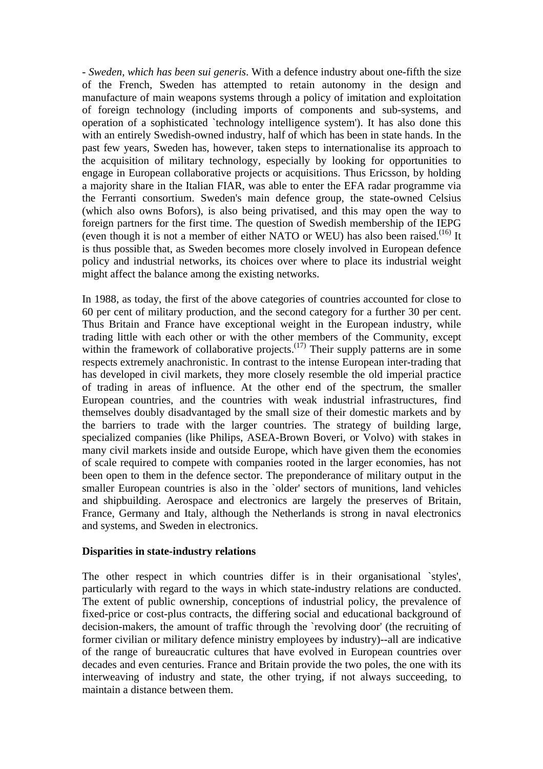- *Sweden, which has been sui generis*. With a defence industry about one-fifth the size of the French, Sweden has attempted to retain autonomy in the design and manufacture of main weapons systems through a policy of imitation and exploitation of foreign technology (including imports of components and sub-systems, and operation of a sophisticated `technology intelligence system'). It has also done this with an entirely Swedish-owned industry, half of which has been in state hands. In the past few years, Sweden has, however, taken steps to internationalise its approach to the acquisition of military technology, especially by looking for opportunities to engage in European collaborative projects or acquisitions. Thus Ericsson, by holding a majority share in the Italian FIAR, was able to enter the EFA radar programme via the Ferranti consortium. Sweden's main defence group, the state-owned Celsius (which also owns Bofors), is also being privatised, and this may open the way to foreign partners for the first time. The question of Swedish membership of the IEPG (even though it is not a member of either NATO or WEU) has also been raised.<sup>(16)</sup> It is thus possible that, as Sweden becomes more closely involved in European defence policy and industrial networks, its choices over where to place its industrial weight might affect the balance among the existing networks.

In 1988, as today, the first of the above categories of countries accounted for close to 60 per cent of military production, and the second category for a further 30 per cent. Thus Britain and France have exceptional weight in the European industry, while trading little with each other or with the other members of the Community, except within the framework of collaborative projects.<sup> $(17)$ </sup> Their supply patterns are in some respects extremely anachronistic. In contrast to the intense European inter-trading that has developed in civil markets, they more closely resemble the old imperial practice of trading in areas of influence. At the other end of the spectrum, the smaller European countries, and the countries with weak industrial infrastructures, find themselves doubly disadvantaged by the small size of their domestic markets and by the barriers to trade with the larger countries. The strategy of building large, specialized companies (like Philips, ASEA-Brown Boveri, or Volvo) with stakes in many civil markets inside and outside Europe, which have given them the economies of scale required to compete with companies rooted in the larger economies, has not been open to them in the defence sector. The preponderance of military output in the smaller European countries is also in the `older' sectors of munitions, land vehicles and shipbuilding. Aerospace and electronics are largely the preserves of Britain, France, Germany and Italy, although the Netherlands is strong in naval electronics and systems, and Sweden in electronics.

#### **Disparities in state-industry relations**

The other respect in which countries differ is in their organisational `styles', particularly with regard to the ways in which state-industry relations are conducted. The extent of public ownership, conceptions of industrial policy, the prevalence of fixed-price or cost-plus contracts, the differing social and educational background of decision-makers, the amount of traffic through the `revolving door' (the recruiting of former civilian or military defence ministry employees by industry)--all are indicative of the range of bureaucratic cultures that have evolved in European countries over decades and even centuries. France and Britain provide the two poles, the one with its interweaving of industry and state, the other trying, if not always succeeding, to maintain a distance between them.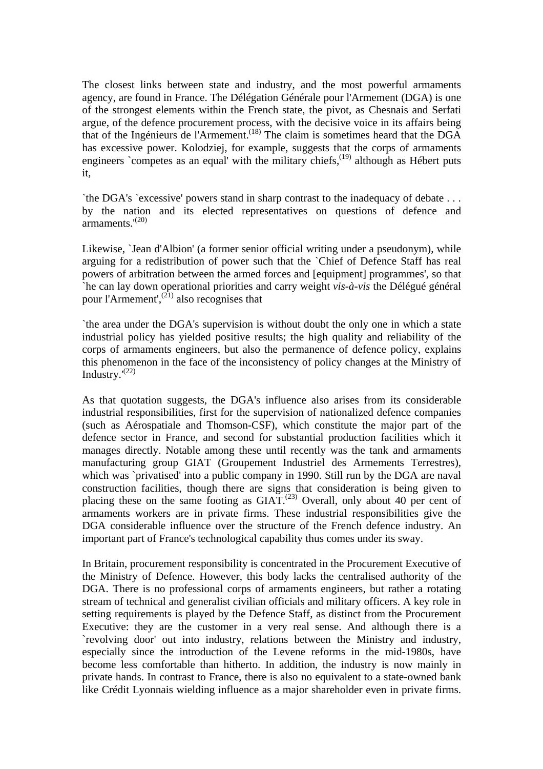The closest links between state and industry, and the most powerful armaments agency, are found in France. The Délégation Générale pour l'Armement (DGA) is one of the strongest elements within the French state, the pivot, as Chesnais and Serfati argue, of the defence procurement process, with the decisive voice in its affairs being that of the Ingénieurs de l'Armement.<sup> $(18)$ </sup> The claim is sometimes heard that the DGA has excessive power. Kolodziej, for example, suggests that the corps of armaments engineers `competes as an equal' with the military chiefs, $^{(19)}$  although as Hébert puts it,

`the DGA's `excessive' powers stand in sharp contrast to the inadequacy of debate . . . by the nation and its elected representatives on questions of defence and armaments.'(20)

Likewise, `Jean d'Albion' (a former senior official writing under a pseudonym), while arguing for a redistribution of power such that the `Chief of Defence Staff has real powers of arbitration between the armed forces and [equipment] programmes', so that `he can lay down operational priorities and carry weight *vis-à-vis* the Délégué général pour l'Armement',<sup>(21)</sup> also recognises that

`the area under the DGA's supervision is without doubt the only one in which a state industrial policy has yielded positive results; the high quality and reliability of the corps of armaments engineers, but also the permanence of defence policy, explains this phenomenon in the face of the inconsistency of policy changes at the Ministry of Industry. $(22)$ 

As that quotation suggests, the DGA's influence also arises from its considerable industrial responsibilities, first for the supervision of nationalized defence companies (such as Aérospatiale and Thomson-CSF), which constitute the major part of the defence sector in France, and second for substantial production facilities which it manages directly. Notable among these until recently was the tank and armaments manufacturing group GIAT (Groupement Industriel des Armements Terrestres), which was `privatised' into a public company in 1990. Still run by the DGA are naval construction facilities, though there are signs that consideration is being given to placing these on the same footing as  $GIAT$ <sup>(23)</sup> Overall, only about 40 per cent of armaments workers are in private firms. These industrial responsibilities give the DGA considerable influence over the structure of the French defence industry. An important part of France's technological capability thus comes under its sway.

In Britain, procurement responsibility is concentrated in the Procurement Executive of the Ministry of Defence. However, this body lacks the centralised authority of the DGA. There is no professional corps of armaments engineers, but rather a rotating stream of technical and generalist civilian officials and military officers. A key role in setting requirements is played by the Defence Staff, as distinct from the Procurement Executive: they are the customer in a very real sense. And although there is a `revolving door' out into industry, relations between the Ministry and industry, especially since the introduction of the Levene reforms in the mid-1980s, have become less comfortable than hitherto. In addition, the industry is now mainly in private hands. In contrast to France, there is also no equivalent to a state-owned bank like Crédit Lyonnais wielding influence as a major shareholder even in private firms.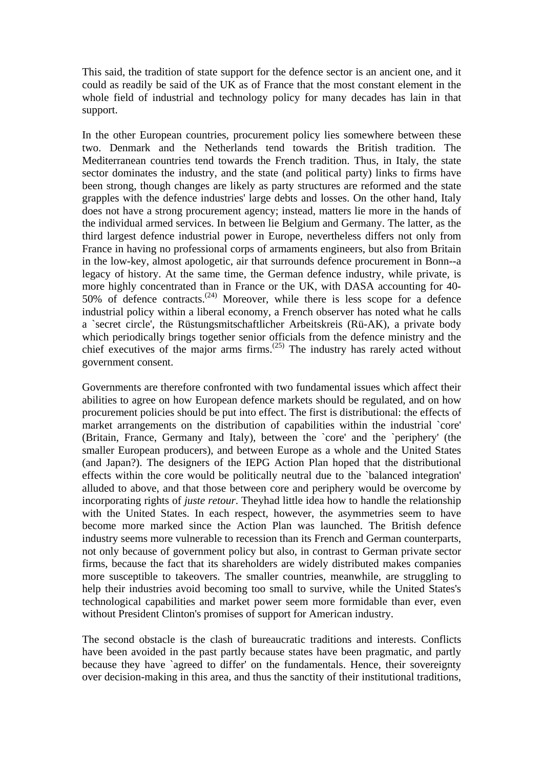This said, the tradition of state support for the defence sector is an ancient one, and it could as readily be said of the UK as of France that the most constant element in the whole field of industrial and technology policy for many decades has lain in that support.

In the other European countries, procurement policy lies somewhere between these two. Denmark and the Netherlands tend towards the British tradition. The Mediterranean countries tend towards the French tradition. Thus, in Italy, the state sector dominates the industry, and the state (and political party) links to firms have been strong, though changes are likely as party structures are reformed and the state grapples with the defence industries' large debts and losses. On the other hand, Italy does not have a strong procurement agency; instead, matters lie more in the hands of the individual armed services. In between lie Belgium and Germany. The latter, as the third largest defence industrial power in Europe, nevertheless differs not only from France in having no professional corps of armaments engineers, but also from Britain in the low-key, almost apologetic, air that surrounds defence procurement in Bonn--a legacy of history. At the same time, the German defence industry, while private, is more highly concentrated than in France or the UK, with DASA accounting for 40- 50% of defence contracts.<sup> $(24)$ </sup> Moreover, while there is less scope for a defence industrial policy within a liberal economy, a French observer has noted what he calls a `secret circle', the Rüstungsmitschaftlicher Arbeitskreis (Rü-AK), a private body which periodically brings together senior officials from the defence ministry and the chief executives of the major arms firms. $(25)$  The industry has rarely acted without government consent.

Governments are therefore confronted with two fundamental issues which affect their abilities to agree on how European defence markets should be regulated, and on how procurement policies should be put into effect. The first is distributional: the effects of market arrangements on the distribution of capabilities within the industrial `core' (Britain, France, Germany and Italy), between the `core' and the `periphery' (the smaller European producers), and between Europe as a whole and the United States (and Japan?). The designers of the IEPG Action Plan hoped that the distributional effects within the core would be politically neutral due to the `balanced integration' alluded to above, and that those between core and periphery would be overcome by incorporating rights of *juste retour*. Theyhad little idea how to handle the relationship with the United States. In each respect, however, the asymmetries seem to have become more marked since the Action Plan was launched. The British defence industry seems more vulnerable to recession than its French and German counterparts, not only because of government policy but also, in contrast to German private sector firms, because the fact that its shareholders are widely distributed makes companies more susceptible to takeovers. The smaller countries, meanwhile, are struggling to help their industries avoid becoming too small to survive, while the United States's technological capabilities and market power seem more formidable than ever, even without President Clinton's promises of support for American industry.

The second obstacle is the clash of bureaucratic traditions and interests. Conflicts have been avoided in the past partly because states have been pragmatic, and partly because they have `agreed to differ' on the fundamentals. Hence, their sovereignty over decision-making in this area, and thus the sanctity of their institutional traditions,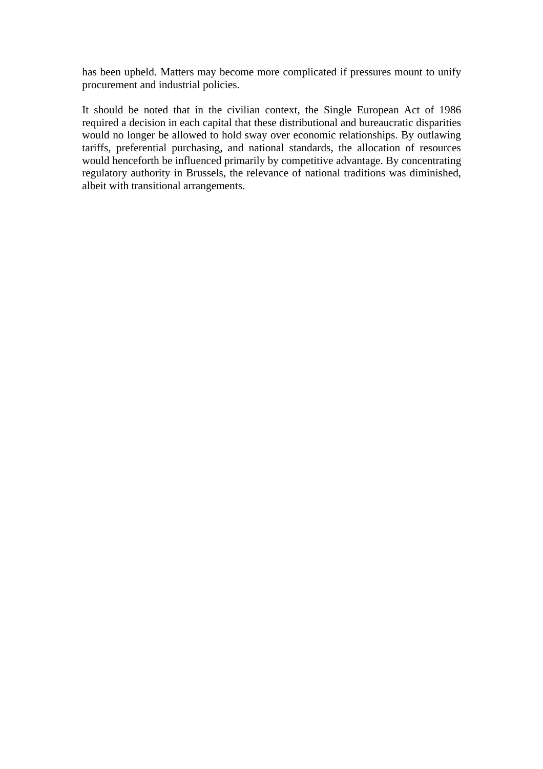has been upheld. Matters may become more complicated if pressures mount to unify procurement and industrial policies.

It should be noted that in the civilian context, the Single European Act of 1986 required a decision in each capital that these distributional and bureaucratic disparities would no longer be allowed to hold sway over economic relationships. By outlawing tariffs, preferential purchasing, and national standards, the allocation of resources would henceforth be influenced primarily by competitive advantage. By concentrating regulatory authority in Brussels, the relevance of national traditions was diminished, albeit with transitional arrangements.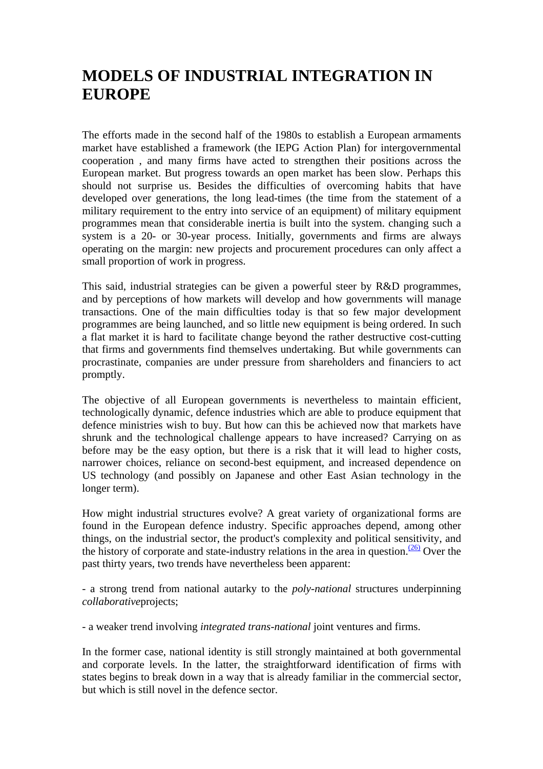## **MODELS OF INDUSTRIAL INTEGRATION IN EUROPE**

The efforts made in the second half of the 1980s to establish a European armaments market have established a framework (the IEPG Action Plan) for intergovernmental cooperation , and many firms have acted to strengthen their positions across the European market. But progress towards an open market has been slow. Perhaps this should not surprise us. Besides the difficulties of overcoming habits that have developed over generations, the long lead-times (the time from the statement of a military requirement to the entry into service of an equipment) of military equipment programmes mean that considerable inertia is built into the system. changing such a system is a 20- or 30-year process. Initially, governments and firms are always operating on the margin: new projects and procurement procedures can only affect a small proportion of work in progress.

This said, industrial strategies can be given a powerful steer by R&D programmes, and by perceptions of how markets will develop and how governments will manage transactions. One of the main difficulties today is that so few major development programmes are being launched, and so little new equipment is being ordered. In such a flat market it is hard to facilitate change beyond the rather destructive cost-cutting that firms and governments find themselves undertaking. But while governments can procrastinate, companies are under pressure from shareholders and financiers to act promptly.

The objective of all European governments is nevertheless to maintain efficient, technologically dynamic, defence industries which are able to produce equipment that defence ministries wish to buy. But how can this be achieved now that markets have shrunk and the technological challenge appears to have increased? Carrying on as before may be the easy option, but there is a risk that it will lead to higher costs, narrower choices, reliance on second-best equipment, and increased dependence on US technology (and possibly on Japanese and other East Asian technology in the longer term).

How might industrial structures evolve? A great variety of organizational forms are found in the European defence industry. Specific approaches depend, among other things, on the industrial sector, the product's complexity and political sensitivity, and the history of corporate and state-industry relations in the area in question.  $\frac{(26)}{20}$  Over the past thirty years, two trends have nevertheless been apparent:

- a strong trend from national autarky to the *poly-national* structures underpinning *collaborative*projects;

- a weaker trend involving *integrated trans-national* joint ventures and firms.

In the former case, national identity is still strongly maintained at both governmental and corporate levels. In the latter, the straightforward identification of firms with states begins to break down in a way that is already familiar in the commercial sector, but which is still novel in the defence sector.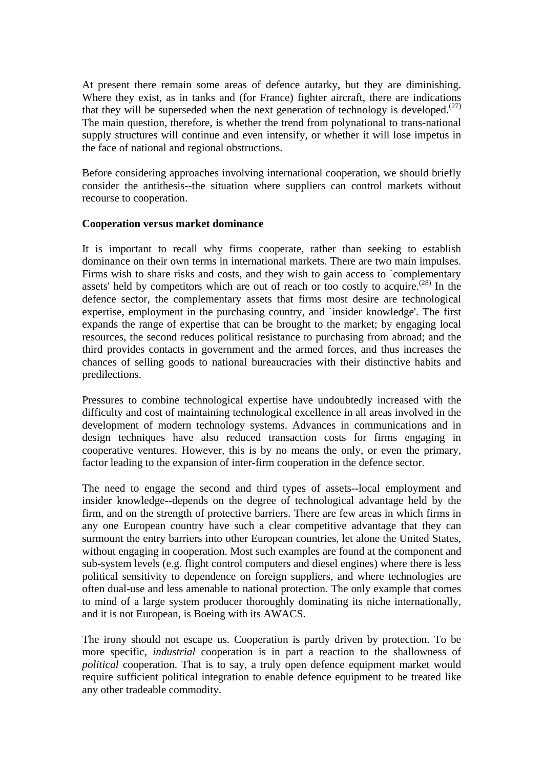At present there remain some areas of defence autarky, but they are diminishing. Where they exist, as in tanks and (for France) fighter aircraft, there are indications that they will be superseded when the next generation of technology is developed.<sup> $(27)$ </sup> The main question, therefore, is whether the trend from polynational to trans-national supply structures will continue and even intensify, or whether it will lose impetus in the face of national and regional obstructions.

Before considering approaches involving international cooperation, we should briefly consider the antithesis--the situation where suppliers can control markets without recourse to cooperation.

#### **Cooperation versus market dominance**

It is important to recall why firms cooperate, rather than seeking to establish dominance on their own terms in international markets. There are two main impulses. Firms wish to share risks and costs, and they wish to gain access to `complementary assets' held by competitors which are out of reach or too costly to acquire.<sup> $(28)$ </sup> In the defence sector, the complementary assets that firms most desire are technological expertise, employment in the purchasing country, and `insider knowledge'. The first expands the range of expertise that can be brought to the market; by engaging local resources, the second reduces political resistance to purchasing from abroad; and the third provides contacts in government and the armed forces, and thus increases the chances of selling goods to national bureaucracies with their distinctive habits and predilections.

Pressures to combine technological expertise have undoubtedly increased with the difficulty and cost of maintaining technological excellence in all areas involved in the development of modern technology systems. Advances in communications and in design techniques have also reduced transaction costs for firms engaging in cooperative ventures. However, this is by no means the only, or even the primary, factor leading to the expansion of inter-firm cooperation in the defence sector.

The need to engage the second and third types of assets--local employment and insider knowledge--depends on the degree of technological advantage held by the firm, and on the strength of protective barriers. There are few areas in which firms in any one European country have such a clear competitive advantage that they can surmount the entry barriers into other European countries, let alone the United States, without engaging in cooperation. Most such examples are found at the component and sub-system levels (e.g. flight control computers and diesel engines) where there is less political sensitivity to dependence on foreign suppliers, and where technologies are often dual-use and less amenable to national protection. The only example that comes to mind of a large system producer thoroughly dominating its niche internationally, and it is not European, is Boeing with its AWACS.

The irony should not escape us. Cooperation is partly driven by protection. To be more specific, *industrial* cooperation is in part a reaction to the shallowness of *political* cooperation. That is to say, a truly open defence equipment market would require sufficient political integration to enable defence equipment to be treated like any other tradeable commodity.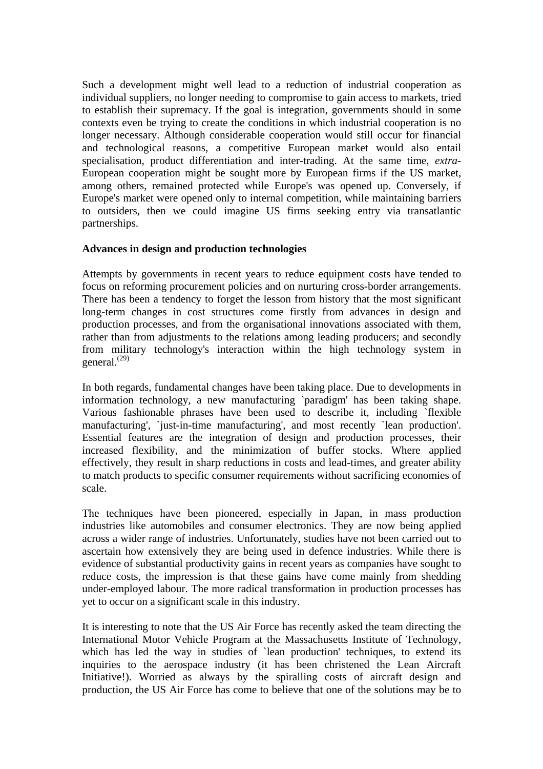Such a development might well lead to a reduction of industrial cooperation as individual suppliers, no longer needing to compromise to gain access to markets, tried to establish their supremacy. If the goal is integration, governments should in some contexts even be trying to create the conditions in which industrial cooperation is no longer necessary. Although considerable cooperation would still occur for financial and technological reasons, a competitive European market would also entail specialisation, product differentiation and inter-trading. At the same time, *extra*-European cooperation might be sought more by European firms if the US market, among others, remained protected while Europe's was opened up. Conversely, if Europe's market were opened only to internal competition, while maintaining barriers to outsiders, then we could imagine US firms seeking entry via transatlantic partnerships.

#### **Advances in design and production technologies**

Attempts by governments in recent years to reduce equipment costs have tended to focus on reforming procurement policies and on nurturing cross-border arrangements. There has been a tendency to forget the lesson from history that the most significant long-term changes in cost structures come firstly from advances in design and production processes, and from the organisational innovations associated with them, rather than from adjustments to the relations among leading producers; and secondly from military technology's interaction within the high technology system in general. $^{(29)}$ 

In both regards, fundamental changes have been taking place. Due to developments in information technology, a new manufacturing `paradigm' has been taking shape. Various fashionable phrases have been used to describe it, including `flexible manufacturing', `just-in-time manufacturing', and most recently `lean production'. Essential features are the integration of design and production processes, their increased flexibility, and the minimization of buffer stocks. Where applied effectively, they result in sharp reductions in costs and lead-times, and greater ability to match products to specific consumer requirements without sacrificing economies of scale.

The techniques have been pioneered, especially in Japan, in mass production industries like automobiles and consumer electronics. They are now being applied across a wider range of industries. Unfortunately, studies have not been carried out to ascertain how extensively they are being used in defence industries. While there is evidence of substantial productivity gains in recent years as companies have sought to reduce costs, the impression is that these gains have come mainly from shedding under-employed labour. The more radical transformation in production processes has yet to occur on a significant scale in this industry.

It is interesting to note that the US Air Force has recently asked the team directing the International Motor Vehicle Program at the Massachusetts Institute of Technology, which has led the way in studies of 'lean production' techniques, to extend its inquiries to the aerospace industry (it has been christened the Lean Aircraft Initiative!). Worried as always by the spiralling costs of aircraft design and production, the US Air Force has come to believe that one of the solutions may be to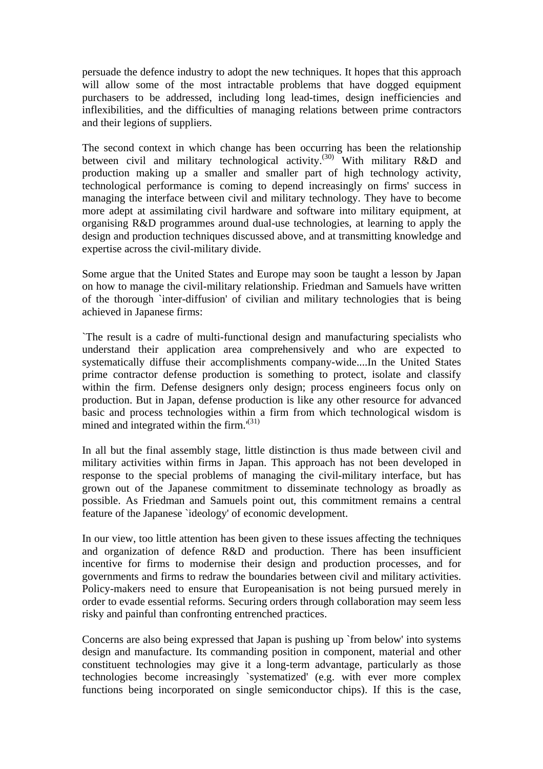persuade the defence industry to adopt the new techniques. It hopes that this approach will allow some of the most intractable problems that have dogged equipment purchasers to be addressed, including long lead-times, design inefficiencies and inflexibilities, and the difficulties of managing relations between prime contractors and their legions of suppliers.

The second context in which change has been occurring has been the relationship between civil and military technological activity.<sup>(30)</sup> With military R&D and production making up a smaller and smaller part of high technology activity, technological performance is coming to depend increasingly on firms' success in managing the interface between civil and military technology. They have to become more adept at assimilating civil hardware and software into military equipment, at organising R&D programmes around dual-use technologies, at learning to apply the design and production techniques discussed above, and at transmitting knowledge and expertise across the civil-military divide.

Some argue that the United States and Europe may soon be taught a lesson by Japan on how to manage the civil-military relationship. Friedman and Samuels have written of the thorough `inter-diffusion' of civilian and military technologies that is being achieved in Japanese firms:

`The result is a cadre of multi-functional design and manufacturing specialists who understand their application area comprehensively and who are expected to systematically diffuse their accomplishments company-wide....In the United States prime contractor defense production is something to protect, isolate and classify within the firm. Defense designers only design; process engineers focus only on production. But in Japan, defense production is like any other resource for advanced basic and process technologies within a firm from which technological wisdom is mined and integrated within the firm.<sup>'(31)</sup>

In all but the final assembly stage, little distinction is thus made between civil and military activities within firms in Japan. This approach has not been developed in response to the special problems of managing the civil-military interface, but has grown out of the Japanese commitment to disseminate technology as broadly as possible. As Friedman and Samuels point out, this commitment remains a central feature of the Japanese `ideology' of economic development.

In our view, too little attention has been given to these issues affecting the techniques and organization of defence R&D and production. There has been insufficient incentive for firms to modernise their design and production processes, and for governments and firms to redraw the boundaries between civil and military activities. Policy-makers need to ensure that Europeanisation is not being pursued merely in order to evade essential reforms. Securing orders through collaboration may seem less risky and painful than confronting entrenched practices.

Concerns are also being expressed that Japan is pushing up `from below' into systems design and manufacture. Its commanding position in component, material and other constituent technologies may give it a long-term advantage, particularly as those technologies become increasingly `systematized' (e.g. with ever more complex functions being incorporated on single semiconductor chips). If this is the case,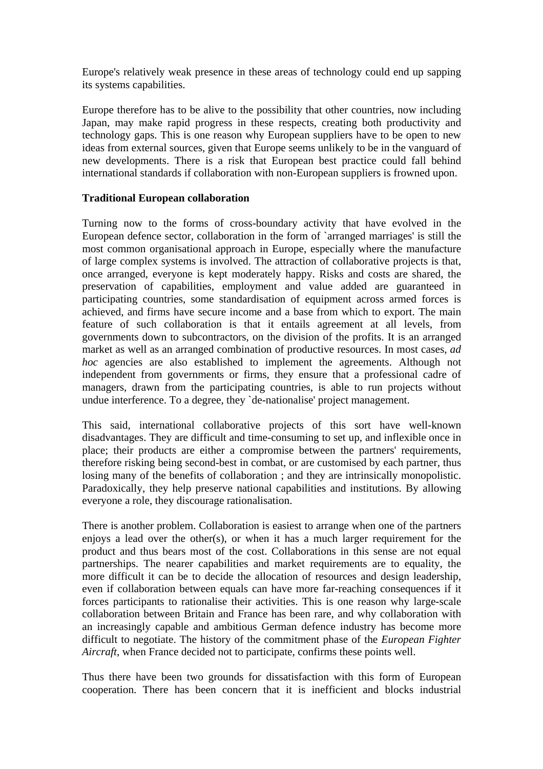Europe's relatively weak presence in these areas of technology could end up sapping its systems capabilities.

Europe therefore has to be alive to the possibility that other countries, now including Japan, may make rapid progress in these respects, creating both productivity and technology gaps. This is one reason why European suppliers have to be open to new ideas from external sources, given that Europe seems unlikely to be in the vanguard of new developments. There is a risk that European best practice could fall behind international standards if collaboration with non-European suppliers is frowned upon.

#### **Traditional European collaboration**

Turning now to the forms of cross-boundary activity that have evolved in the European defence sector, collaboration in the form of `arranged marriages' is still the most common organisational approach in Europe, especially where the manufacture of large complex systems is involved. The attraction of collaborative projects is that, once arranged, everyone is kept moderately happy. Risks and costs are shared, the preservation of capabilities, employment and value added are guaranteed in participating countries, some standardisation of equipment across armed forces is achieved, and firms have secure income and a base from which to export. The main feature of such collaboration is that it entails agreement at all levels, from governments down to subcontractors, on the division of the profits. It is an arranged market as well as an arranged combination of productive resources. In most cases, *ad hoc* agencies are also established to implement the agreements. Although not independent from governments or firms, they ensure that a professional cadre of managers, drawn from the participating countries, is able to run projects without undue interference. To a degree, they `de-nationalise' project management.

This said, international collaborative projects of this sort have well-known disadvantages. They are difficult and time-consuming to set up, and inflexible once in place; their products are either a compromise between the partners' requirements, therefore risking being second-best in combat, or are customised by each partner, thus losing many of the benefits of collaboration ; and they are intrinsically monopolistic. Paradoxically, they help preserve national capabilities and institutions. By allowing everyone a role, they discourage rationalisation.

There is another problem. Collaboration is easiest to arrange when one of the partners enjoys a lead over the other(s), or when it has a much larger requirement for the product and thus bears most of the cost. Collaborations in this sense are not equal partnerships. The nearer capabilities and market requirements are to equality, the more difficult it can be to decide the allocation of resources and design leadership, even if collaboration between equals can have more far-reaching consequences if it forces participants to rationalise their activities. This is one reason why large-scale collaboration between Britain and France has been rare, and why collaboration with an increasingly capable and ambitious German defence industry has become more difficult to negotiate. The history of the commitment phase of the *European Fighter Aircraft*, when France decided not to participate, confirms these points well.

Thus there have been two grounds for dissatisfaction with this form of European cooperation. There has been concern that it is inefficient and blocks industrial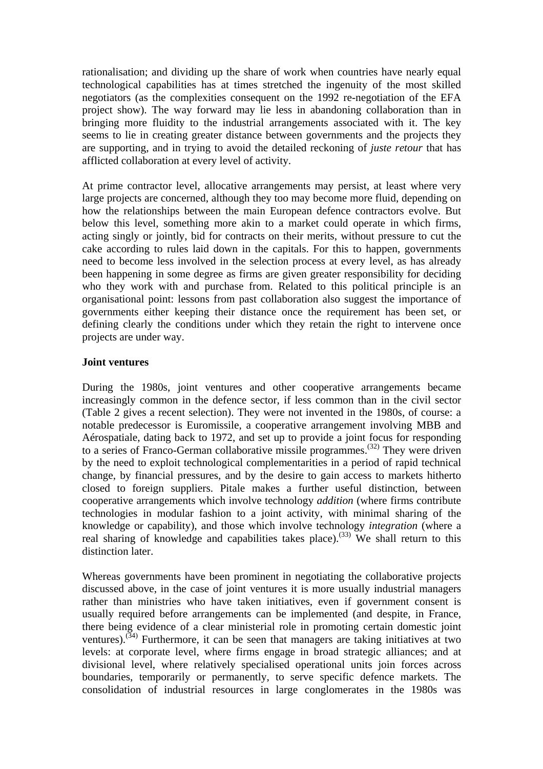rationalisation; and dividing up the share of work when countries have nearly equal technological capabilities has at times stretched the ingenuity of the most skilled negotiators (as the complexities consequent on the 1992 re-negotiation of the EFA project show). The way forward may lie less in abandoning collaboration than in bringing more fluidity to the industrial arrangements associated with it. The key seems to lie in creating greater distance between governments and the projects they are supporting, and in trying to avoid the detailed reckoning of *juste retour* that has afflicted collaboration at every level of activity.

At prime contractor level, allocative arrangements may persist, at least where very large projects are concerned, although they too may become more fluid, depending on how the relationships between the main European defence contractors evolve. But below this level, something more akin to a market could operate in which firms, acting singly or jointly, bid for contracts on their merits, without pressure to cut the cake according to rules laid down in the capitals. For this to happen, governments need to become less involved in the selection process at every level, as has already been happening in some degree as firms are given greater responsibility for deciding who they work with and purchase from. Related to this political principle is an organisational point: lessons from past collaboration also suggest the importance of governments either keeping their distance once the requirement has been set, or defining clearly the conditions under which they retain the right to intervene once projects are under way.

#### **Joint ventures**

During the 1980s, joint ventures and other cooperative arrangements became increasingly common in the defence sector, if less common than in the civil sector (Table 2 gives a recent selection). They were not invented in the 1980s, of course: a notable predecessor is Euromissile, a cooperative arrangement involving MBB and Aérospatiale, dating back to 1972, and set up to provide a joint focus for responding to a series of Franco-German collaborative missile programmes.(32) They were driven by the need to exploit technological complementarities in a period of rapid technical change, by financial pressures, and by the desire to gain access to markets hitherto closed to foreign suppliers. Pitale makes a further useful distinction, between cooperative arrangements which involve technology *addition* (where firms contribute technologies in modular fashion to a joint activity, with minimal sharing of the knowledge or capability), and those which involve technology *integration* (where a real sharing of knowledge and capabilities takes place).<sup>(33)</sup> We shall return to this distinction later.

Whereas governments have been prominent in negotiating the collaborative projects discussed above, in the case of joint ventures it is more usually industrial managers rather than ministries who have taken initiatives, even if government consent is usually required before arrangements can be implemented (and despite, in France, there being evidence of a clear ministerial role in promoting certain domestic joint ventures).<sup> $(34)$ </sup> Furthermore, it can be seen that managers are taking initiatives at two levels: at corporate level, where firms engage in broad strategic alliances; and at divisional level, where relatively specialised operational units join forces across boundaries, temporarily or permanently, to serve specific defence markets. The consolidation of industrial resources in large conglomerates in the 1980s was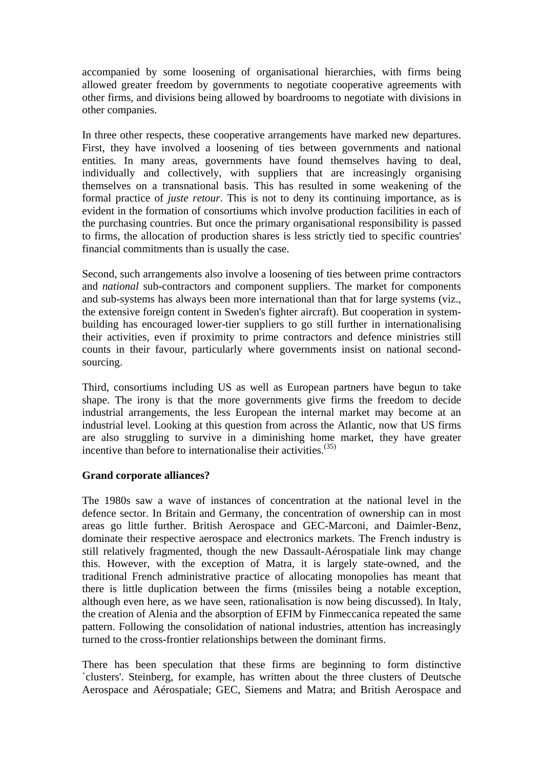accompanied by some loosening of organisational hierarchies, with firms being allowed greater freedom by governments to negotiate cooperative agreements with other firms, and divisions being allowed by boardrooms to negotiate with divisions in other companies.

In three other respects, these cooperative arrangements have marked new departures. First, they have involved a loosening of ties between governments and national entities*.* In many areas, governments have found themselves having to deal, individually and collectively, with suppliers that are increasingly organising themselves on a transnational basis. This has resulted in some weakening of the formal practice of *juste retour*. This is not to deny its continuing importance, as is evident in the formation of consortiums which involve production facilities in each of the purchasing countries. But once the primary organisational responsibility is passed to firms, the allocation of production shares is less strictly tied to specific countries' financial commitments than is usually the case.

Second, such arrangements also involve a loosening of ties between prime contractors and *national* sub-contractors and component suppliers. The market for components and sub-systems has always been more international than that for large systems (viz., the extensive foreign content in Sweden's fighter aircraft). But cooperation in systembuilding has encouraged lower-tier suppliers to go still further in internationalising their activities, even if proximity to prime contractors and defence ministries still counts in their favour, particularly where governments insist on national secondsourcing.

Third, consortiums including US as well as European partners have begun to take shape. The irony is that the more governments give firms the freedom to decide industrial arrangements, the less European the internal market may become at an industrial level. Looking at this question from across the Atlantic, now that US firms are also struggling to survive in a diminishing home market, they have greater incentive than before to internationalise their activities.<sup>(35)</sup>

#### **Grand corporate alliances?**

The 1980s saw a wave of instances of concentration at the national level in the defence sector. In Britain and Germany, the concentration of ownership can in most areas go little further. British Aerospace and GEC-Marconi, and Daimler-Benz, dominate their respective aerospace and electronics markets. The French industry is still relatively fragmented, though the new Dassault-Aérospatiale link may change this. However, with the exception of Matra, it is largely state-owned, and the traditional French administrative practice of allocating monopolies has meant that there is little duplication between the firms (missiles being a notable exception, although even here, as we have seen, rationalisation is now being discussed). In Italy, the creation of Alenia and the absorption of EFIM by Finmeccanica repeated the same pattern. Following the consolidation of national industries, attention has increasingly turned to the cross-frontier relationships between the dominant firms.

There has been speculation that these firms are beginning to form distinctive `clusters'. Steinberg, for example, has written about the three clusters of Deutsche Aerospace and Aérospatiale; GEC, Siemens and Matra; and British Aerospace and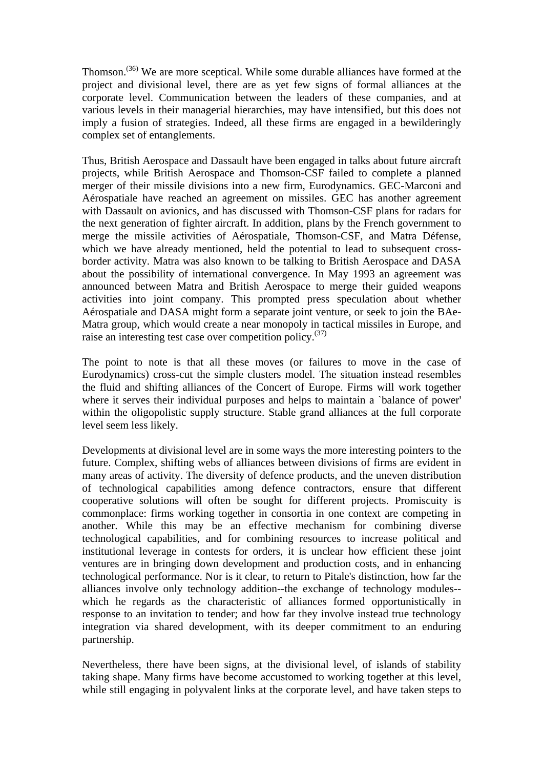Thomson.(36) We are more sceptical. While some durable alliances have formed at the project and divisional level, there are as yet few signs of formal alliances at the corporate level. Communication between the leaders of these companies, and at various levels in their managerial hierarchies, may have intensified, but this does not imply a fusion of strategies. Indeed, all these firms are engaged in a bewilderingly complex set of entanglements.

Thus, British Aerospace and Dassault have been engaged in talks about future aircraft projects, while British Aerospace and Thomson-CSF failed to complete a planned merger of their missile divisions into a new firm, Eurodynamics. GEC-Marconi and Aérospatiale have reached an agreement on missiles. GEC has another agreement with Dassault on avionics, and has discussed with Thomson-CSF plans for radars for the next generation of fighter aircraft. In addition, plans by the French government to merge the missile activities of Aérospatiale, Thomson-CSF, and Matra Défense, which we have already mentioned, held the potential to lead to subsequent crossborder activity. Matra was also known to be talking to British Aerospace and DASA about the possibility of international convergence. In May 1993 an agreement was announced between Matra and British Aerospace to merge their guided weapons activities into joint company. This prompted press speculation about whether Aérospatiale and DASA might form a separate joint venture, or seek to join the BAe-Matra group, which would create a near monopoly in tactical missiles in Europe, and raise an interesting test case over competition policy. $(37)$ 

The point to note is that all these moves (or failures to move in the case of Eurodynamics) cross-cut the simple clusters model. The situation instead resembles the fluid and shifting alliances of the Concert of Europe. Firms will work together where it serves their individual purposes and helps to maintain a `balance of power' within the oligopolistic supply structure. Stable grand alliances at the full corporate level seem less likely.

Developments at divisional level are in some ways the more interesting pointers to the future. Complex, shifting webs of alliances between divisions of firms are evident in many areas of activity. The diversity of defence products, and the uneven distribution of technological capabilities among defence contractors, ensure that different cooperative solutions will often be sought for different projects. Promiscuity is commonplace: firms working together in consortia in one context are competing in another. While this may be an effective mechanism for combining diverse technological capabilities, and for combining resources to increase political and institutional leverage in contests for orders, it is unclear how efficient these joint ventures are in bringing down development and production costs, and in enhancing technological performance. Nor is it clear, to return to Pitale's distinction, how far the alliances involve only technology addition--the exchange of technology modules- which he regards as the characteristic of alliances formed opportunistically in response to an invitation to tender; and how far they involve instead true technology integration via shared development, with its deeper commitment to an enduring partnership.

Nevertheless, there have been signs, at the divisional level, of islands of stability taking shape. Many firms have become accustomed to working together at this level, while still engaging in polyvalent links at the corporate level, and have taken steps to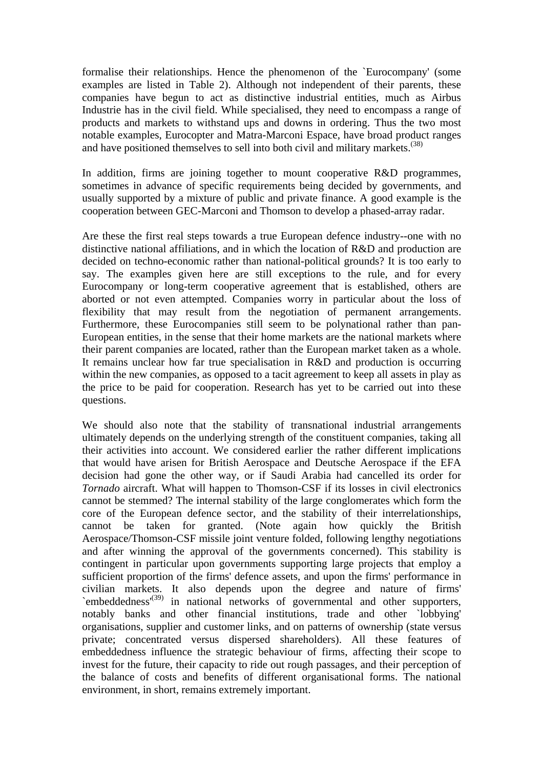formalise their relationships. Hence the phenomenon of the `Eurocompany' (some examples are listed in Table 2). Although not independent of their parents, these companies have begun to act as distinctive industrial entities, much as Airbus Industrie has in the civil field. While specialised, they need to encompass a range of products and markets to withstand ups and downs in ordering. Thus the two most notable examples, Eurocopter and Matra-Marconi Espace, have broad product ranges and have positioned themselves to sell into both civil and military markets.<sup>(38)</sup>

In addition, firms are joining together to mount cooperative R&D programmes, sometimes in advance of specific requirements being decided by governments, and usually supported by a mixture of public and private finance. A good example is the cooperation between GEC-Marconi and Thomson to develop a phased-array radar.

Are these the first real steps towards a true European defence industry--one with no distinctive national affiliations, and in which the location of R&D and production are decided on techno-economic rather than national-political grounds? It is too early to say. The examples given here are still exceptions to the rule, and for every Eurocompany or long-term cooperative agreement that is established, others are aborted or not even attempted. Companies worry in particular about the loss of flexibility that may result from the negotiation of permanent arrangements. Furthermore, these Eurocompanies still seem to be polynational rather than pan-European entities, in the sense that their home markets are the national markets where their parent companies are located, rather than the European market taken as a whole. It remains unclear how far true specialisation in R&D and production is occurring within the new companies, as opposed to a tacit agreement to keep all assets in play as the price to be paid for cooperation. Research has yet to be carried out into these questions.

We should also note that the stability of transnational industrial arrangements ultimately depends on the underlying strength of the constituent companies, taking all their activities into account. We considered earlier the rather different implications that would have arisen for British Aerospace and Deutsche Aerospace if the EFA decision had gone the other way, or if Saudi Arabia had cancelled its order for *Tornado* aircraft. What will happen to Thomson-CSF if its losses in civil electronics cannot be stemmed? The internal stability of the large conglomerates which form the core of the European defence sector, and the stability of their interrelationships, cannot be taken for granted. (Note again how quickly the British Aerospace/Thomson-CSF missile joint venture folded, following lengthy negotiations and after winning the approval of the governments concerned). This stability is contingent in particular upon governments supporting large projects that employ a sufficient proportion of the firms' defence assets, and upon the firms' performance in civilian markets. It also depends upon the degree and nature of firms' `embeddedness<sup>'(39)</sup> in national networks of governmental and other supporters, notably banks and other financial institutions, trade and other `lobbying' organisations, supplier and customer links, and on patterns of ownership (state versus private; concentrated versus dispersed shareholders). All these features of embeddedness influence the strategic behaviour of firms, affecting their scope to invest for the future, their capacity to ride out rough passages, and their perception of the balance of costs and benefits of different organisational forms. The national environment, in short, remains extremely important.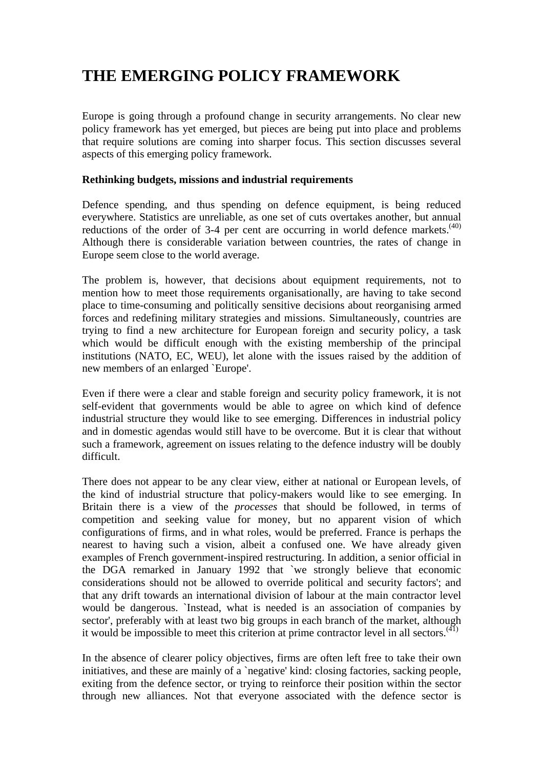# **THE EMERGING POLICY FRAMEWORK**

Europe is going through a profound change in security arrangements. No clear new policy framework has yet emerged, but pieces are being put into place and problems that require solutions are coming into sharper focus. This section discusses several aspects of this emerging policy framework.

#### **Rethinking budgets, missions and industrial requirements**

Defence spending, and thus spending on defence equipment, is being reduced everywhere. Statistics are unreliable, as one set of cuts overtakes another, but annual reductions of the order of 3-4 per cent are occurring in world defence markets.<sup> $(40)$ </sup> Although there is considerable variation between countries, the rates of change in Europe seem close to the world average.

The problem is, however, that decisions about equipment requirements, not to mention how to meet those requirements organisationally, are having to take second place to time-consuming and politically sensitive decisions about reorganising armed forces and redefining military strategies and missions. Simultaneously, countries are trying to find a new architecture for European foreign and security policy, a task which would be difficult enough with the existing membership of the principal institutions (NATO, EC, WEU), let alone with the issues raised by the addition of new members of an enlarged `Europe'.

Even if there were a clear and stable foreign and security policy framework, it is not self-evident that governments would be able to agree on which kind of defence industrial structure they would like to see emerging. Differences in industrial policy and in domestic agendas would still have to be overcome. But it is clear that without such a framework, agreement on issues relating to the defence industry will be doubly difficult.

There does not appear to be any clear view, either at national or European levels, of the kind of industrial structure that policy-makers would like to see emerging. In Britain there is a view of the *processes* that should be followed, in terms of competition and seeking value for money, but no apparent vision of which configurations of firms, and in what roles, would be preferred. France is perhaps the nearest to having such a vision, albeit a confused one. We have already given examples of French government-inspired restructuring. In addition, a senior official in the DGA remarked in January 1992 that `we strongly believe that economic considerations should not be allowed to override political and security factors'; and that any drift towards an international division of labour at the main contractor level would be dangerous. `Instead, what is needed is an association of companies by sector', preferably with at least two big groups in each branch of the market, although it would be impossible to meet this criterion at prime contractor level in all sectors. $(41)$ 

In the absence of clearer policy objectives, firms are often left free to take their own initiatives, and these are mainly of a 'negative' kind: closing factories, sacking people, exiting from the defence sector, or trying to reinforce their position within the sector through new alliances. Not that everyone associated with the defence sector is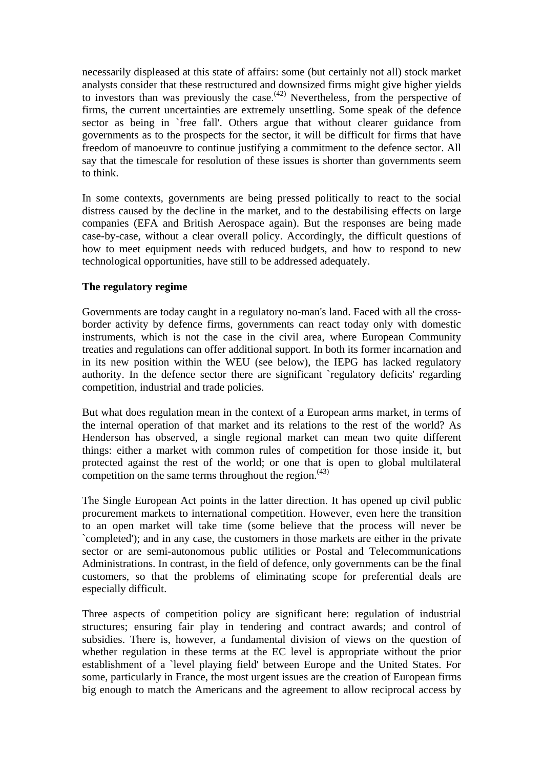necessarily displeased at this state of affairs: some (but certainly not all) stock market analysts consider that these restructured and downsized firms might give higher yields to investors than was previously the case.<sup> $(42)$ </sup> Nevertheless, from the perspective of firms, the current uncertainties are extremely unsettling. Some speak of the defence sector as being in `free fall'. Others argue that without clearer guidance from governments as to the prospects for the sector, it will be difficult for firms that have freedom of manoeuvre to continue justifying a commitment to the defence sector. All say that the timescale for resolution of these issues is shorter than governments seem to think.

In some contexts, governments are being pressed politically to react to the social distress caused by the decline in the market, and to the destabilising effects on large companies (EFA and British Aerospace again). But the responses are being made case-by-case, without a clear overall policy. Accordingly, the difficult questions of how to meet equipment needs with reduced budgets, and how to respond to new technological opportunities, have still to be addressed adequately.

#### **The regulatory regime**

Governments are today caught in a regulatory no-man's land. Faced with all the crossborder activity by defence firms, governments can react today only with domestic instruments, which is not the case in the civil area, where European Community treaties and regulations can offer additional support. In both its former incarnation and in its new position within the WEU (see below), the IEPG has lacked regulatory authority. In the defence sector there are significant `regulatory deficits' regarding competition, industrial and trade policies.

But what does regulation mean in the context of a European arms market, in terms of the internal operation of that market and its relations to the rest of the world? As Henderson has observed, a single regional market can mean two quite different things: either a market with common rules of competition for those inside it, but protected against the rest of the world; or one that is open to global multilateral competition on the same terms throughout the region. $(43)$ 

The Single European Act points in the latter direction. It has opened up civil public procurement markets to international competition. However, even here the transition to an open market will take time (some believe that the process will never be `completed'); and in any case, the customers in those markets are either in the private sector or are semi-autonomous public utilities or Postal and Telecommunications Administrations. In contrast, in the field of defence, only governments can be the final customers, so that the problems of eliminating scope for preferential deals are especially difficult.

Three aspects of competition policy are significant here: regulation of industrial structures; ensuring fair play in tendering and contract awards; and control of subsidies. There is, however, a fundamental division of views on the question of whether regulation in these terms at the EC level is appropriate without the prior establishment of a `level playing field' between Europe and the United States. For some, particularly in France, the most urgent issues are the creation of European firms big enough to match the Americans and the agreement to allow reciprocal access by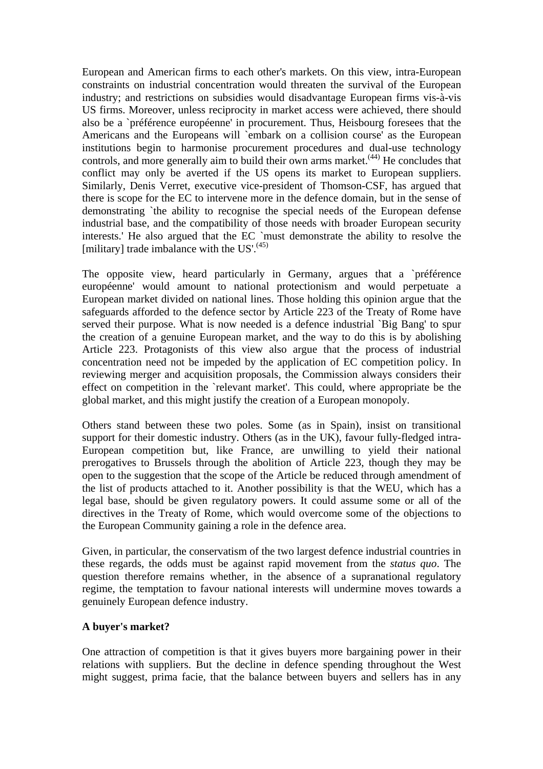European and American firms to each other's markets. On this view, intra-European constraints on industrial concentration would threaten the survival of the European industry; and restrictions on subsidies would disadvantage European firms vis-à-vis US firms. Moreover, unless reciprocity in market access were achieved, there should also be a `préférence européenne' in procurement. Thus, Heisbourg foresees that the Americans and the Europeans will `embark on a collision course' as the European institutions begin to harmonise procurement procedures and dual-use technology controls, and more generally aim to build their own arms market. $(44)$  He concludes that conflict may only be averted if the US opens its market to European suppliers. Similarly, Denis Verret, executive vice-president of Thomson-CSF, has argued that there is scope for the EC to intervene more in the defence domain, but in the sense of demonstrating `the ability to recognise the special needs of the European defense industrial base, and the compatibility of those needs with broader European security interests.' He also argued that the EC `must demonstrate the ability to resolve the [military] trade imbalance with the US'. $(45)$ ]

The opposite view, heard particularly in Germany, argues that a `préférence européenne' would amount to national protectionism and would perpetuate a European market divided on national lines. Those holding this opinion argue that the safeguards afforded to the defence sector by Article 223 of the Treaty of Rome have served their purpose. What is now needed is a defence industrial `Big Bang' to spur the creation of a genuine European market, and the way to do this is by abolishing Article 223. Protagonists of this view also argue that the process of industrial concentration need not be impeded by the application of EC competition policy. In reviewing merger and acquisition proposals, the Commission always considers their effect on competition in the `relevant market'. This could, where appropriate be the global market, and this might justify the creation of a European monopoly.

Others stand between these two poles. Some (as in Spain), insist on transitional support for their domestic industry. Others (as in the UK), favour fully-fledged intra-European competition but, like France, are unwilling to yield their national prerogatives to Brussels through the abolition of Article 223, though they may be open to the suggestion that the scope of the Article be reduced through amendment of the list of products attached to it. Another possibility is that the WEU, which has a legal base, should be given regulatory powers. It could assume some or all of the directives in the Treaty of Rome, which would overcome some of the objections to the European Community gaining a role in the defence area.

Given, in particular, the conservatism of the two largest defence industrial countries in these regards, the odds must be against rapid movement from the *status quo*. The question therefore remains whether, in the absence of a supranational regulatory regime, the temptation to favour national interests will undermine moves towards a genuinely European defence industry.

#### **A buyer's market?**

One attraction of competition is that it gives buyers more bargaining power in their relations with suppliers. But the decline in defence spending throughout the West might suggest, prima facie, that the balance between buyers and sellers has in any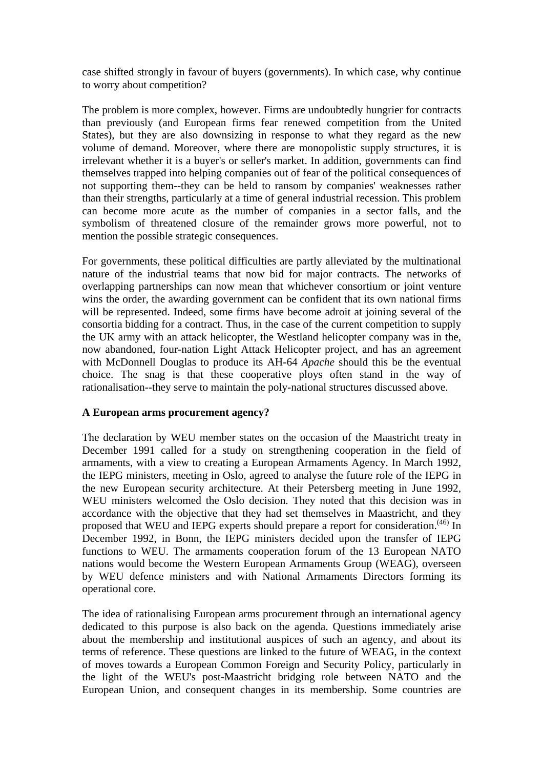case shifted strongly in favour of buyers (governments). In which case, why continue to worry about competition?

The problem is more complex, however. Firms are undoubtedly hungrier for contracts than previously (and European firms fear renewed competition from the United States), but they are also downsizing in response to what they regard as the new volume of demand. Moreover, where there are monopolistic supply structures, it is irrelevant whether it is a buyer's or seller's market. In addition, governments can find themselves trapped into helping companies out of fear of the political consequences of not supporting them--they can be held to ransom by companies' weaknesses rather than their strengths, particularly at a time of general industrial recession. This problem can become more acute as the number of companies in a sector falls, and the symbolism of threatened closure of the remainder grows more powerful, not to mention the possible strategic consequences.

For governments, these political difficulties are partly alleviated by the multinational nature of the industrial teams that now bid for major contracts. The networks of overlapping partnerships can now mean that whichever consortium or joint venture wins the order, the awarding government can be confident that its own national firms will be represented. Indeed, some firms have become adroit at joining several of the consortia bidding for a contract. Thus, in the case of the current competition to supply the UK army with an attack helicopter, the Westland helicopter company was in the, now abandoned, four-nation Light Attack Helicopter project, and has an agreement with McDonnell Douglas to produce its AH-64 *Apache* should this be the eventual choice. The snag is that these cooperative ploys often stand in the way of rationalisation--they serve to maintain the poly-national structures discussed above.

#### **A European arms procurement agency?**

The declaration by WEU member states on the occasion of the Maastricht treaty in December 1991 called for a study on strengthening cooperation in the field of armaments, with a view to creating a European Armaments Agency. In March 1992, the IEPG ministers, meeting in Oslo, agreed to analyse the future role of the IEPG in the new European security architecture. At their Petersberg meeting in June 1992, WEU ministers welcomed the Oslo decision. They noted that this decision was in accordance with the objective that they had set themselves in Maastricht, and they proposed that WEU and IEPG experts should prepare a report for consideration.<sup>(46)</sup> In December 1992, in Bonn, the IEPG ministers decided upon the transfer of IEPG functions to WEU. The armaments cooperation forum of the 13 European NATO nations would become the Western European Armaments Group (WEAG), overseen by WEU defence ministers and with National Armaments Directors forming its operational core.

The idea of rationalising European arms procurement through an international agency dedicated to this purpose is also back on the agenda. Questions immediately arise about the membership and institutional auspices of such an agency, and about its terms of reference. These questions are linked to the future of WEAG, in the context of moves towards a European Common Foreign and Security Policy, particularly in the light of the WEU's post-Maastricht bridging role between NATO and the European Union, and consequent changes in its membership. Some countries are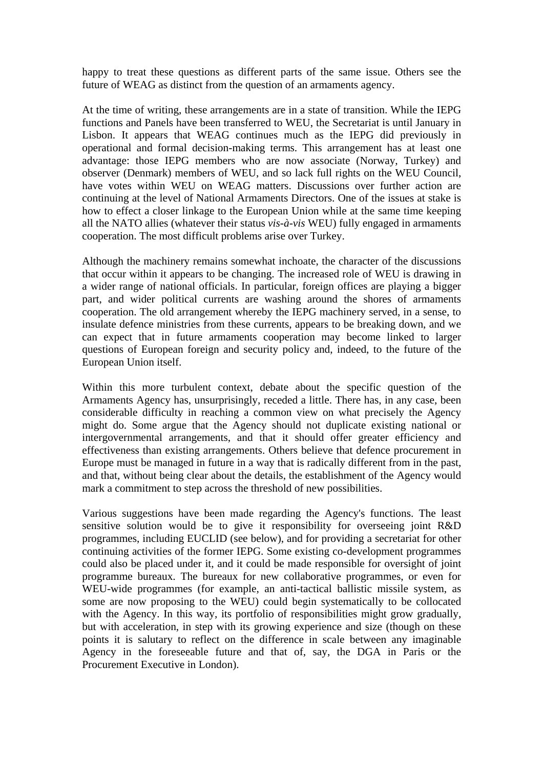happy to treat these questions as different parts of the same issue. Others see the future of WEAG as distinct from the question of an armaments agency.

At the time of writing, these arrangements are in a state of transition. While the IEPG functions and Panels have been transferred to WEU, the Secretariat is until January in Lisbon. It appears that WEAG continues much as the IEPG did previously in operational and formal decision-making terms. This arrangement has at least one advantage: those IEPG members who are now associate (Norway, Turkey) and observer (Denmark) members of WEU, and so lack full rights on the WEU Council, have votes within WEU on WEAG matters. Discussions over further action are continuing at the level of National Armaments Directors. One of the issues at stake is how to effect a closer linkage to the European Union while at the same time keeping all the NATO allies (whatever their status *vis-à-vis* WEU) fully engaged in armaments cooperation. The most difficult problems arise over Turkey.

Although the machinery remains somewhat inchoate, the character of the discussions that occur within it appears to be changing. The increased role of WEU is drawing in a wider range of national officials. In particular, foreign offices are playing a bigger part, and wider political currents are washing around the shores of armaments cooperation. The old arrangement whereby the IEPG machinery served, in a sense, to insulate defence ministries from these currents, appears to be breaking down, and we can expect that in future armaments cooperation may become linked to larger questions of European foreign and security policy and, indeed, to the future of the European Union itself.

Within this more turbulent context, debate about the specific question of the Armaments Agency has, unsurprisingly, receded a little. There has, in any case, been considerable difficulty in reaching a common view on what precisely the Agency might do. Some argue that the Agency should not duplicate existing national or intergovernmental arrangements, and that it should offer greater efficiency and effectiveness than existing arrangements. Others believe that defence procurement in Europe must be managed in future in a way that is radically different from in the past, and that, without being clear about the details, the establishment of the Agency would mark a commitment to step across the threshold of new possibilities.

Various suggestions have been made regarding the Agency's functions. The least sensitive solution would be to give it responsibility for overseeing joint R&D programmes, including EUCLID (see below), and for providing a secretariat for other continuing activities of the former IEPG. Some existing co-development programmes could also be placed under it, and it could be made responsible for oversight of joint programme bureaux. The bureaux for new collaborative programmes, or even for WEU-wide programmes (for example, an anti-tactical ballistic missile system, as some are now proposing to the WEU) could begin systematically to be collocated with the Agency. In this way, its portfolio of responsibilities might grow gradually, but with acceleration, in step with its growing experience and size (though on these points it is salutary to reflect on the difference in scale between any imaginable Agency in the foreseeable future and that of, say, the DGA in Paris or the Procurement Executive in London).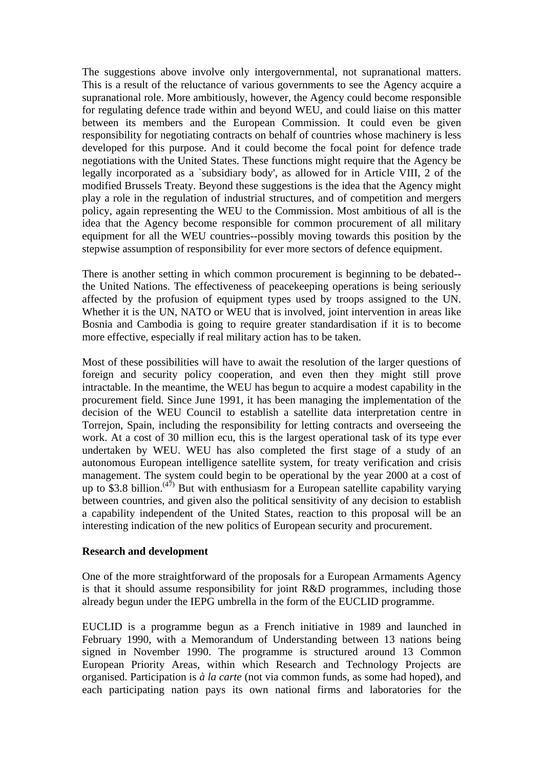The suggestions above involve only intergovernmental, not supranational matters. This is a result of the reluctance of various governments to see the Agency acquire a supranational role. More ambitiously, however, the Agency could become responsible for regulating defence trade within and beyond WEU, and could liaise on this matter between its members and the European Commission. It could even be given responsibility for negotiating contracts on behalf of countries whose machinery is less developed for this purpose. And it could become the focal point for defence trade negotiations with the United States. These functions might require that the Agency be legally incorporated as a `subsidiary body', as allowed for in Article VIII, 2 of the modified Brussels Treaty. Beyond these suggestions is the idea that the Agency might play a role in the regulation of industrial structures, and of competition and mergers policy, again representing the WEU to the Commission. Most ambitious of all is the idea that the Agency become responsible for common procurement of all military equipment for all the WEU countries--possibly moving towards this position by the stepwise assumption of responsibility for ever more sectors of defence equipment.

There is another setting in which common procurement is beginning to be debated- the United Nations. The effectiveness of peacekeeping operations is being seriously affected by the profusion of equipment types used by troops assigned to the UN. Whether it is the UN, NATO or WEU that is involved, joint intervention in areas like Bosnia and Cambodia is going to require greater standardisation if it is to become more effective, especially if real military action has to be taken.

Most of these possibilities will have to await the resolution of the larger questions of foreign and security policy cooperation, and even then they might still prove intractable. In the meantime, the WEU has begun to acquire a modest capability in the procurement field. Since June 1991, it has been managing the implementation of the decision of the WEU Council to establish a satellite data interpretation centre in Torrejon, Spain, including the responsibility for letting contracts and overseeing the work. At a cost of 30 million ecu, this is the largest operational task of its type ever undertaken by WEU. WEU has also completed the first stage of a study of an autonomous European intelligence satellite system, for treaty verification and crisis management. The system could begin to be operational by the year 2000 at a cost of up to \$3.8 billion.<sup> $(47)$ </sup> But with enthusiasm for a European satellite capability varying between countries, and given also the political sensitivity of any decision to establish a capability independent of the United States, reaction to this proposal will be an interesting indication of the new politics of European security and procurement.

#### **Research and development**

One of the more straightforward of the proposals for a European Armaments Agency is that it should assume responsibility for joint R&D programmes, including those already begun under the IEPG umbrella in the form of the EUCLID programme.

EUCLID is a programme begun as a French initiative in 1989 and launched in February 1990, with a Memorandum of Understanding between 13 nations being signed in November 1990. The programme is structured around 13 Common European Priority Areas, within which Research and Technology Projects are organised. Participation is *à la carte* (not via common funds, as some had hoped), and each participating nation pays its own national firms and laboratories for the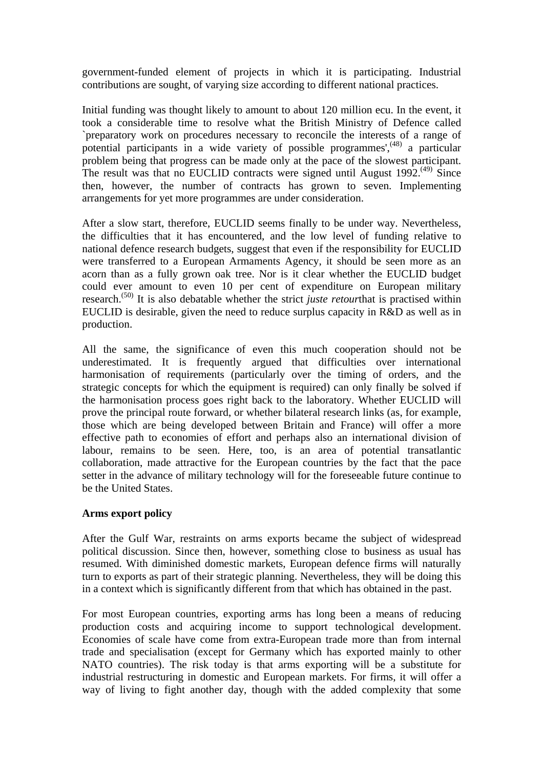government-funded element of projects in which it is participating. Industrial contributions are sought, of varying size according to different national practices.

Initial funding was thought likely to amount to about 120 million ecu. In the event, it took a considerable time to resolve what the British Ministry of Defence called `preparatory work on procedures necessary to reconcile the interests of a range of potential participants in a wide variety of possible programmes',<sup>(48)</sup> a particular problem being that progress can be made only at the pace of the slowest participant. The result was that no EUCLID contracts were signed until August  $1992$ <sup>(49)</sup> Since then, however, the number of contracts has grown to seven. Implementing arrangements for yet more programmes are under consideration.

After a slow start, therefore, EUCLID seems finally to be under way. Nevertheless, the difficulties that it has encountered, and the low level of funding relative to national defence research budgets, suggest that even if the responsibility for EUCLID were transferred to a European Armaments Agency, it should be seen more as an acorn than as a fully grown oak tree. Nor is it clear whether the EUCLID budget could ever amount to even 10 per cent of expenditure on European military research.(50) It is also debatable whether the strict *juste retour*that is practised within EUCLID is desirable, given the need to reduce surplus capacity in R&D as well as in production.

All the same, the significance of even this much cooperation should not be underestimated. It is frequently argued that difficulties over international harmonisation of requirements (particularly over the timing of orders, and the strategic concepts for which the equipment is required) can only finally be solved if the harmonisation process goes right back to the laboratory. Whether EUCLID will prove the principal route forward, or whether bilateral research links (as, for example, those which are being developed between Britain and France) will offer a more effective path to economies of effort and perhaps also an international division of labour, remains to be seen. Here, too, is an area of potential transatlantic collaboration, made attractive for the European countries by the fact that the pace setter in the advance of military technology will for the foreseeable future continue to be the United States.

#### **Arms export policy**

After the Gulf War, restraints on arms exports became the subject of widespread political discussion. Since then, however, something close to business as usual has resumed. With diminished domestic markets, European defence firms will naturally turn to exports as part of their strategic planning. Nevertheless, they will be doing this in a context which is significantly different from that which has obtained in the past.

For most European countries, exporting arms has long been a means of reducing production costs and acquiring income to support technological development. Economies of scale have come from extra-European trade more than from internal trade and specialisation (except for Germany which has exported mainly to other NATO countries). The risk today is that arms exporting will be a substitute for industrial restructuring in domestic and European markets. For firms, it will offer a way of living to fight another day, though with the added complexity that some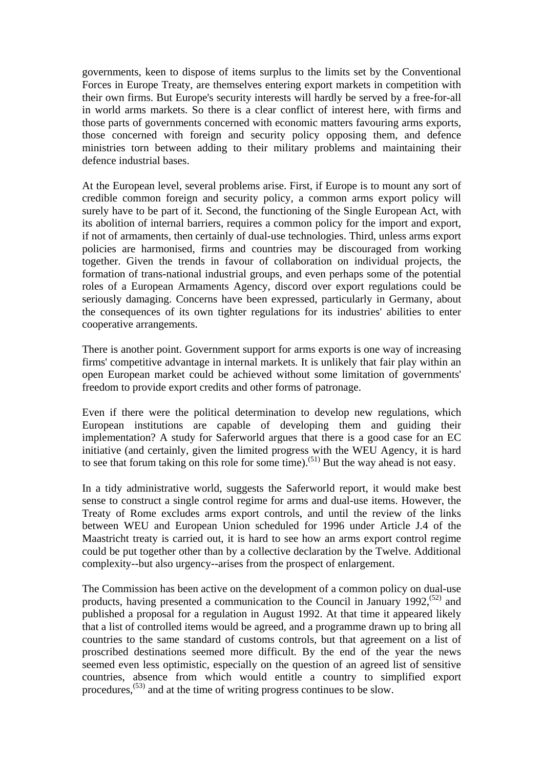governments, keen to dispose of items surplus to the limits set by the Conventional Forces in Europe Treaty, are themselves entering export markets in competition with their own firms. But Europe's security interests will hardly be served by a free-for-all in world arms markets. So there is a clear conflict of interest here, with firms and those parts of governments concerned with economic matters favouring arms exports, those concerned with foreign and security policy opposing them, and defence ministries torn between adding to their military problems and maintaining their defence industrial bases.

At the European level, several problems arise. First, if Europe is to mount any sort of credible common foreign and security policy, a common arms export policy will surely have to be part of it. Second, the functioning of the Single European Act, with its abolition of internal barriers, requires a common policy for the import and export, if not of armaments, then certainly of dual-use technologies. Third, unless arms export policies are harmonised, firms and countries may be discouraged from working together. Given the trends in favour of collaboration on individual projects, the formation of trans-national industrial groups, and even perhaps some of the potential roles of a European Armaments Agency, discord over export regulations could be seriously damaging. Concerns have been expressed, particularly in Germany, about the consequences of its own tighter regulations for its industries' abilities to enter cooperative arrangements.

There is another point. Government support for arms exports is one way of increasing firms' competitive advantage in internal markets. It is unlikely that fair play within an open European market could be achieved without some limitation of governments' freedom to provide export credits and other forms of patronage.

Even if there were the political determination to develop new regulations, which European institutions are capable of developing them and guiding their implementation? A study for Saferworld argues that there is a good case for an EC initiative (and certainly, given the limited progress with the WEU Agency, it is hard to see that forum taking on this role for some time).<sup>(51)</sup> But the way ahead is not easy.

In a tidy administrative world, suggests the Saferworld report, it would make best sense to construct a single control regime for arms and dual-use items. However, the Treaty of Rome excludes arms export controls, and until the review of the links between WEU and European Union scheduled for 1996 under Article J.4 of the Maastricht treaty is carried out, it is hard to see how an arms export control regime could be put together other than by a collective declaration by the Twelve. Additional complexity--but also urgency--arises from the prospect of enlargement.

The Commission has been active on the development of a common policy on dual-use products, having presented a communication to the Council in January 1992,<sup>(52)</sup> and published a proposal for a regulation in August 1992. At that time it appeared likely that a list of controlled items would be agreed, and a programme drawn up to bring all countries to the same standard of customs controls, but that agreement on a list of proscribed destinations seemed more difficult. By the end of the year the news seemed even less optimistic, especially on the question of an agreed list of sensitive countries, absence from which would entitle a country to simplified export procedures,(53) and at the time of writing progress continues to be slow.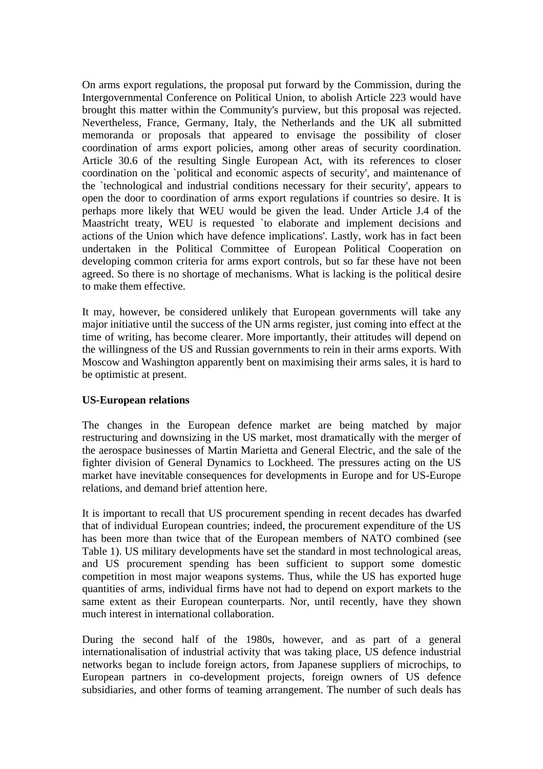On arms export regulations, the proposal put forward by the Commission, during the Intergovernmental Conference on Political Union, to abolish Article 223 would have brought this matter within the Community's purview, but this proposal was rejected. Nevertheless, France, Germany, Italy, the Netherlands and the UK all submitted memoranda or proposals that appeared to envisage the possibility of closer coordination of arms export policies, among other areas of security coordination. Article 30.6 of the resulting Single European Act, with its references to closer coordination on the `political and economic aspects of security', and maintenance of the `technological and industrial conditions necessary for their security', appears to open the door to coordination of arms export regulations if countries so desire. It is perhaps more likely that WEU would be given the lead. Under Article J.4 of the Maastricht treaty, WEU is requested `to elaborate and implement decisions and actions of the Union which have defence implications'. Lastly, work has in fact been undertaken in the Political Committee of European Political Cooperation on developing common criteria for arms export controls, but so far these have not been agreed. So there is no shortage of mechanisms. What is lacking is the political desire to make them effective.

It may, however, be considered unlikely that European governments will take any major initiative until the success of the UN arms register, just coming into effect at the time of writing, has become clearer. More importantly, their attitudes will depend on the willingness of the US and Russian governments to rein in their arms exports. With Moscow and Washington apparently bent on maximising their arms sales, it is hard to be optimistic at present.

#### **US-European relations**

The changes in the European defence market are being matched by major restructuring and downsizing in the US market, most dramatically with the merger of the aerospace businesses of Martin Marietta and General Electric, and the sale of the fighter division of General Dynamics to Lockheed. The pressures acting on the US market have inevitable consequences for developments in Europe and for US-Europe relations, and demand brief attention here.

It is important to recall that US procurement spending in recent decades has dwarfed that of individual European countries; indeed, the procurement expenditure of the US has been more than twice that of the European members of NATO combined (see Table 1). US military developments have set the standard in most technological areas, and US procurement spending has been sufficient to support some domestic competition in most major weapons systems. Thus, while the US has exported huge quantities of arms, individual firms have not had to depend on export markets to the same extent as their European counterparts. Nor, until recently, have they shown much interest in international collaboration.

During the second half of the 1980s, however, and as part of a general internationalisation of industrial activity that was taking place, US defence industrial networks began to include foreign actors, from Japanese suppliers of microchips, to European partners in co-development projects, foreign owners of US defence subsidiaries, and other forms of teaming arrangement. The number of such deals has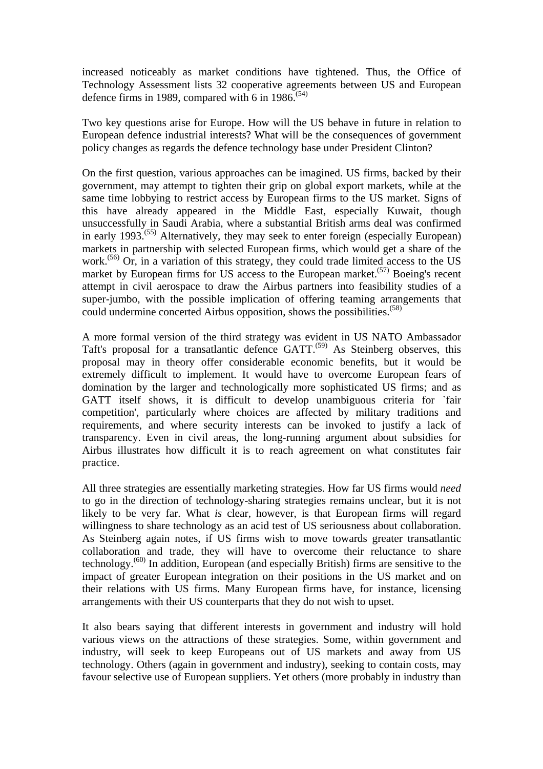increased noticeably as market conditions have tightened. Thus, the Office of Technology Assessment lists 32 cooperative agreements between US and European defence firms in 1989, compared with 6 in  $1986^{(54)}$ 

Two key questions arise for Europe. How will the US behave in future in relation to European defence industrial interests? What will be the consequences of government policy changes as regards the defence technology base under President Clinton?

On the first question, various approaches can be imagined. US firms, backed by their government, may attempt to tighten their grip on global export markets, while at the same time lobbying to restrict access by European firms to the US market. Signs of this have already appeared in the Middle East, especially Kuwait, though unsuccessfully in Saudi Arabia, where a substantial British arms deal was confirmed in early 1993.(55) Alternatively, they may seek to enter foreign (especially European) markets in partnership with selected European firms, which would get a share of the work.<sup>(56)</sup> Or, in a variation of this strategy, they could trade limited access to the US market by European firms for US access to the European market.<sup> $(57)$ </sup> Boeing's recent attempt in civil aerospace to draw the Airbus partners into feasibility studies of a super-jumbo, with the possible implication of offering teaming arrangements that could undermine concerted Airbus opposition, shows the possibilities.<sup>(58)</sup>

A more formal version of the third strategy was evident in US NATO Ambassador Taft's proposal for a transatlantic defence GATT.<sup>(59)</sup> As Steinberg observes, this proposal may in theory offer considerable economic benefits, but it would be extremely difficult to implement. It would have to overcome European fears of domination by the larger and technologically more sophisticated US firms; and as GATT itself shows, it is difficult to develop unambiguous criteria for `fair competition', particularly where choices are affected by military traditions and requirements, and where security interests can be invoked to justify a lack of transparency. Even in civil areas, the long-running argument about subsidies for Airbus illustrates how difficult it is to reach agreement on what constitutes fair practice.

All three strategies are essentially marketing strategies. How far US firms would *need*  to go in the direction of technology-sharing strategies remains unclear, but it is not likely to be very far. What *is* clear, however, is that European firms will regard willingness to share technology as an acid test of US seriousness about collaboration. As Steinberg again notes, if US firms wish to move towards greater transatlantic collaboration and trade, they will have to overcome their reluctance to share technology.(60) In addition, European (and especially British) firms are sensitive to the impact of greater European integration on their positions in the US market and on their relations with US firms. Many European firms have, for instance, licensing arrangements with their US counterparts that they do not wish to upset.

It also bears saying that different interests in government and industry will hold various views on the attractions of these strategies. Some, within government and industry, will seek to keep Europeans out of US markets and away from US technology. Others (again in government and industry), seeking to contain costs, may favour selective use of European suppliers. Yet others (more probably in industry than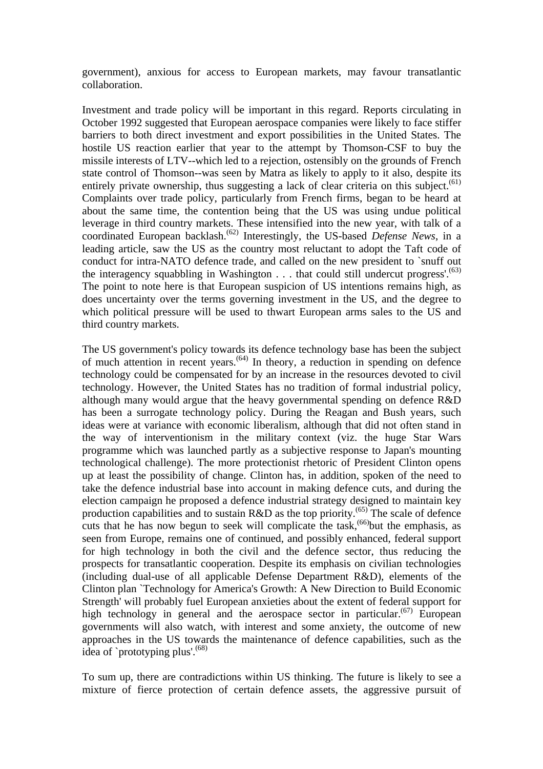government), anxious for access to European markets, may favour transatlantic collaboration.

Investment and trade policy will be important in this regard. Reports circulating in October 1992 suggested that European aerospace companies were likely to face stiffer barriers to both direct investment and export possibilities in the United States. The hostile US reaction earlier that year to the attempt by Thomson-CSF to buy the missile interests of LTV--which led to a rejection, ostensibly on the grounds of French state control of Thomson--was seen by Matra as likely to apply to it also, despite its entirely private ownership, thus suggesting a lack of clear criteria on this subject.<sup> $(61)$ </sup> Complaints over trade policy, particularly from French firms, began to be heard at about the same time, the contention being that the US was using undue political leverage in third country markets. These intensified into the new year, with talk of a coordinated European backlash.<sup>(62)</sup> Interestingly, the US-based *Defense News*, in a leading article, saw the US as the country most reluctant to adopt the Taft code of conduct for intra-NATO defence trade, and called on the new president to `snuff out the interagency squabbling in Washington  $\dots$  that could still undercut progress'.<sup>(63)</sup> The point to note here is that European suspicion of US intentions remains high, as does uncertainty over the terms governing investment in the US, and the degree to which political pressure will be used to thwart European arms sales to the US and third country markets.

The US government's policy towards its defence technology base has been the subject of much attention in recent years.<sup> $(64)$ </sup> In theory, a reduction in spending on defence technology could be compensated for by an increase in the resources devoted to civil technology. However, the United States has no tradition of formal industrial policy, although many would argue that the heavy governmental spending on defence R&D has been a surrogate technology policy. During the Reagan and Bush years, such ideas were at variance with economic liberalism, although that did not often stand in the way of interventionism in the military context (viz. the huge Star Wars programme which was launched partly as a subjective response to Japan's mounting technological challenge). The more protectionist rhetoric of President Clinton opens up at least the possibility of change. Clinton has, in addition, spoken of the need to take the defence industrial base into account in making defence cuts, and during the election campaign he proposed a defence industrial strategy designed to maintain key production capabilities and to sustain R&D as the top priority.<sup> $(65)$ </sup> The scale of defence cuts that he has now begun to seek will complicate the task,  $^{(66)}$  but the emphasis, as seen from Europe, remains one of continued, and possibly enhanced, federal support for high technology in both the civil and the defence sector, thus reducing the prospects for transatlantic cooperation. Despite its emphasis on civilian technologies (including dual-use of all applicable Defense Department R&D), elements of the Clinton plan `Technology for America's Growth: A New Direction to Build Economic Strength' will probably fuel European anxieties about the extent of federal support for high technology in general and the aerospace sector in particular.<sup> $(67)$ </sup> European governments will also watch, with interest and some anxiety, the outcome of new approaches in the US towards the maintenance of defence capabilities, such as the idea of `prototyping plus'.<sup>(68)</sup>

To sum up, there are contradictions within US thinking. The future is likely to see a mixture of fierce protection of certain defence assets, the aggressive pursuit of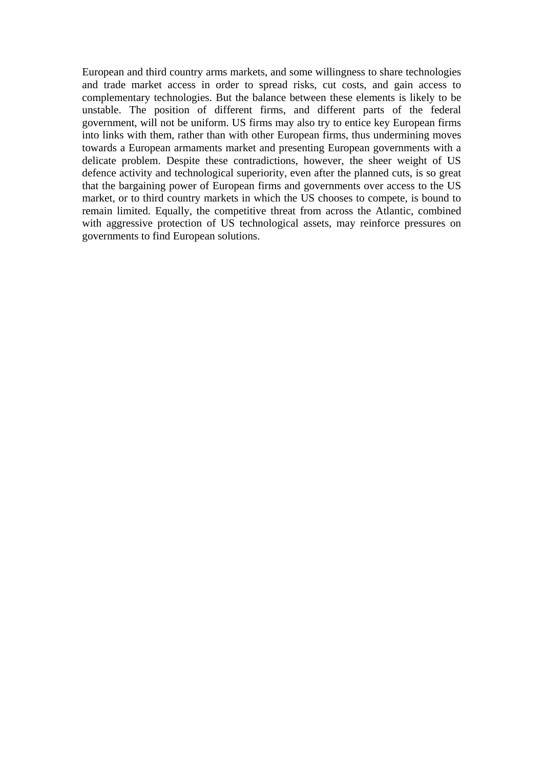European and third country arms markets, and some willingness to share technologies and trade market access in order to spread risks, cut costs, and gain access to complementary technologies. But the balance between these elements is likely to be unstable. The position of different firms, and different parts of the federal government, will not be uniform. US firms may also try to entice key European firms into links with them, rather than with other European firms, thus undermining moves towards a European armaments market and presenting European governments with a delicate problem. Despite these contradictions, however, the sheer weight of US defence activity and technological superiority, even after the planned cuts, is so great that the bargaining power of European firms and governments over access to the US market, or to third country markets in which the US chooses to compete, is bound to remain limited. Equally, the competitive threat from across the Atlantic, combined with aggressive protection of US technological assets, may reinforce pressures on governments to find European solutions.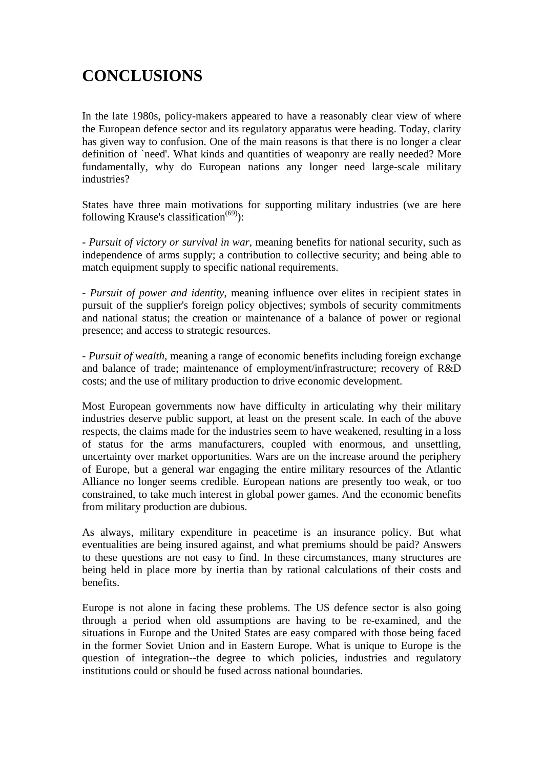# **CONCLUSIONS**

In the late 1980s, policy-makers appeared to have a reasonably clear view of where the European defence sector and its regulatory apparatus were heading. Today, clarity has given way to confusion. One of the main reasons is that there is no longer a clear definition of `need'. What kinds and quantities of weaponry are really needed? More fundamentally, why do European nations any longer need large-scale military industries?

States have three main motivations for supporting military industries (we are here following Krause's classification<sup> $(69)$ </sup>):

- *Pursuit of victory or survival in war*, meaning benefits for national security, such as independence of arms supply; a contribution to collective security; and being able to match equipment supply to specific national requirements.

- *Pursuit of power and identity*, meaning influence over elites in recipient states in pursuit of the supplier's foreign policy objectives; symbols of security commitments and national status; the creation or maintenance of a balance of power or regional presence; and access to strategic resources.

- *Pursuit of wealth*, meaning a range of economic benefits including foreign exchange and balance of trade; maintenance of employment/infrastructure; recovery of R&D costs; and the use of military production to drive economic development.

Most European governments now have difficulty in articulating why their military industries deserve public support, at least on the present scale. In each of the above respects, the claims made for the industries seem to have weakened, resulting in a loss of status for the arms manufacturers, coupled with enormous, and unsettling, uncertainty over market opportunities. Wars are on the increase around the periphery of Europe, but a general war engaging the entire military resources of the Atlantic Alliance no longer seems credible. European nations are presently too weak, or too constrained, to take much interest in global power games. And the economic benefits from military production are dubious.

As always, military expenditure in peacetime is an insurance policy. But what eventualities are being insured against, and what premiums should be paid? Answers to these questions are not easy to find. In these circumstances, many structures are being held in place more by inertia than by rational calculations of their costs and benefits.

Europe is not alone in facing these problems. The US defence sector is also going through a period when old assumptions are having to be re-examined, and the situations in Europe and the United States are easy compared with those being faced in the former Soviet Union and in Eastern Europe. What is unique to Europe is the question of integration--the degree to which policies, industries and regulatory institutions could or should be fused across national boundaries.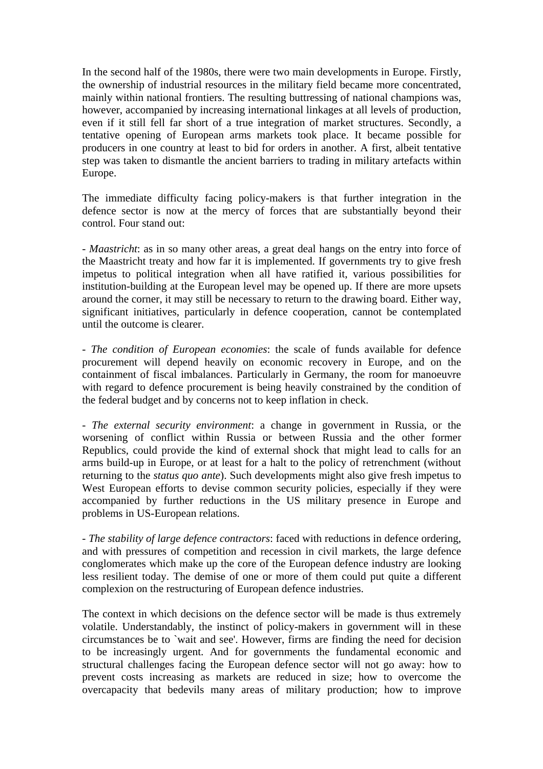In the second half of the 1980s, there were two main developments in Europe. Firstly, the ownership of industrial resources in the military field became more concentrated, mainly within national frontiers. The resulting buttressing of national champions was, however, accompanied by increasing international linkages at all levels of production, even if it still fell far short of a true integration of market structures. Secondly, a tentative opening of European arms markets took place. It became possible for producers in one country at least to bid for orders in another. A first, albeit tentative step was taken to dismantle the ancient barriers to trading in military artefacts within Europe.

The immediate difficulty facing policy-makers is that further integration in the defence sector is now at the mercy of forces that are substantially beyond their control. Four stand out:

- *Maastricht*: as in so many other areas, a great deal hangs on the entry into force of the Maastricht treaty and how far it is implemented. If governments try to give fresh impetus to political integration when all have ratified it, various possibilities for institution-building at the European level may be opened up. If there are more upsets around the corner, it may still be necessary to return to the drawing board. Either way, significant initiatives, particularly in defence cooperation, cannot be contemplated until the outcome is clearer.

- *The condition of European economies*: the scale of funds available for defence procurement will depend heavily on economic recovery in Europe, and on the containment of fiscal imbalances. Particularly in Germany, the room for manoeuvre with regard to defence procurement is being heavily constrained by the condition of the federal budget and by concerns not to keep inflation in check.

- *The external security environment*: a change in government in Russia, or the worsening of conflict within Russia or between Russia and the other former Republics, could provide the kind of external shock that might lead to calls for an arms build-up in Europe, or at least for a halt to the policy of retrenchment (without returning to the *status quo ante*). Such developments might also give fresh impetus to West European efforts to devise common security policies, especially if they were accompanied by further reductions in the US military presence in Europe and problems in US-European relations.

- *The stability of large defence contractors*: faced with reductions in defence ordering, and with pressures of competition and recession in civil markets, the large defence conglomerates which make up the core of the European defence industry are looking less resilient today. The demise of one or more of them could put quite a different complexion on the restructuring of European defence industries.

The context in which decisions on the defence sector will be made is thus extremely volatile. Understandably, the instinct of policy-makers in government will in these circumstances be to `wait and see'. However, firms are finding the need for decision to be increasingly urgent. And for governments the fundamental economic and structural challenges facing the European defence sector will not go away: how to prevent costs increasing as markets are reduced in size; how to overcome the overcapacity that bedevils many areas of military production; how to improve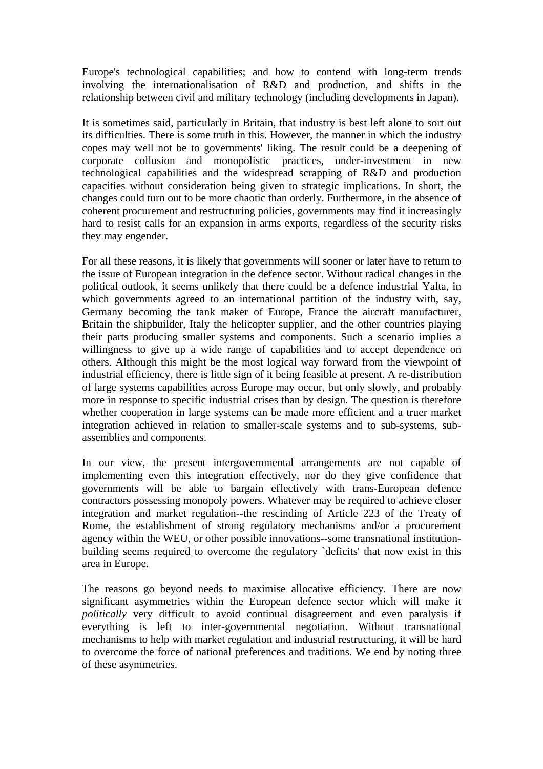Europe's technological capabilities; and how to contend with long-term trends involving the internationalisation of R&D and production, and shifts in the relationship between civil and military technology (including developments in Japan).

It is sometimes said, particularly in Britain, that industry is best left alone to sort out its difficulties. There is some truth in this. However, the manner in which the industry copes may well not be to governments' liking. The result could be a deepening of corporate collusion and monopolistic practices, under-investment in new technological capabilities and the widespread scrapping of R&D and production capacities without consideration being given to strategic implications. In short, the changes could turn out to be more chaotic than orderly. Furthermore, in the absence of coherent procurement and restructuring policies, governments may find it increasingly hard to resist calls for an expansion in arms exports, regardless of the security risks they may engender.

For all these reasons, it is likely that governments will sooner or later have to return to the issue of European integration in the defence sector. Without radical changes in the political outlook, it seems unlikely that there could be a defence industrial Yalta, in which governments agreed to an international partition of the industry with, say, Germany becoming the tank maker of Europe, France the aircraft manufacturer, Britain the shipbuilder, Italy the helicopter supplier, and the other countries playing their parts producing smaller systems and components. Such a scenario implies a willingness to give up a wide range of capabilities and to accept dependence on others. Although this might be the most logical way forward from the viewpoint of industrial efficiency, there is little sign of it being feasible at present. A re-distribution of large systems capabilities across Europe may occur, but only slowly, and probably more in response to specific industrial crises than by design. The question is therefore whether cooperation in large systems can be made more efficient and a truer market integration achieved in relation to smaller-scale systems and to sub-systems, subassemblies and components.

In our view, the present intergovernmental arrangements are not capable of implementing even this integration effectively, nor do they give confidence that governments will be able to bargain effectively with trans-European defence contractors possessing monopoly powers. Whatever may be required to achieve closer integration and market regulation--the rescinding of Article 223 of the Treaty of Rome, the establishment of strong regulatory mechanisms and/or a procurement agency within the WEU, or other possible innovations--some transnational institutionbuilding seems required to overcome the regulatory `deficits' that now exist in this area in Europe.

The reasons go beyond needs to maximise allocative efficiency. There are now significant asymmetries within the European defence sector which will make it *politically* very difficult to avoid continual disagreement and even paralysis if everything is left to inter-governmental negotiation. Without transnational mechanisms to help with market regulation and industrial restructuring, it will be hard to overcome the force of national preferences and traditions. We end by noting three of these asymmetries.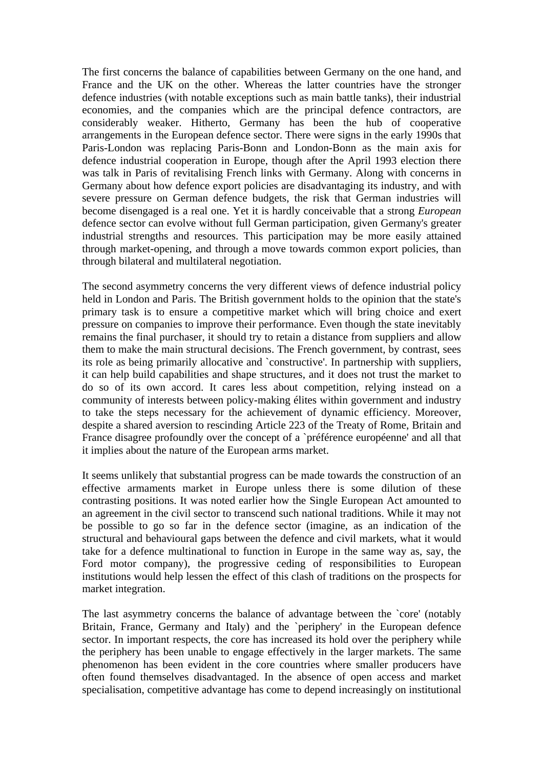The first concerns the balance of capabilities between Germany on the one hand, and France and the UK on the other. Whereas the latter countries have the stronger defence industries (with notable exceptions such as main battle tanks), their industrial economies, and the companies which are the principal defence contractors, are considerably weaker. Hitherto, Germany has been the hub of cooperative arrangements in the European defence sector. There were signs in the early 1990s that Paris-London was replacing Paris-Bonn and London-Bonn as the main axis for defence industrial cooperation in Europe, though after the April 1993 election there was talk in Paris of revitalising French links with Germany. Along with concerns in Germany about how defence export policies are disadvantaging its industry, and with severe pressure on German defence budgets, the risk that German industries will become disengaged is a real one. Yet it is hardly conceivable that a strong *European* defence sector can evolve without full German participation, given Germany's greater industrial strengths and resources. This participation may be more easily attained through market-opening, and through a move towards common export policies, than through bilateral and multilateral negotiation.

The second asymmetry concerns the very different views of defence industrial policy held in London and Paris. The British government holds to the opinion that the state's primary task is to ensure a competitive market which will bring choice and exert pressure on companies to improve their performance. Even though the state inevitably remains the final purchaser, it should try to retain a distance from suppliers and allow them to make the main structural decisions. The French government, by contrast, sees its role as being primarily allocative and `constructive'. In partnership with suppliers, it can help build capabilities and shape structures, and it does not trust the market to do so of its own accord. It cares less about competition, relying instead on a community of interests between policy-making élites within government and industry to take the steps necessary for the achievement of dynamic efficiency. Moreover, despite a shared aversion to rescinding Article 223 of the Treaty of Rome, Britain and France disagree profoundly over the concept of a `préférence européenne' and all that it implies about the nature of the European arms market.

It seems unlikely that substantial progress can be made towards the construction of an effective armaments market in Europe unless there is some dilution of these contrasting positions. It was noted earlier how the Single European Act amounted to an agreement in the civil sector to transcend such national traditions. While it may not be possible to go so far in the defence sector (imagine, as an indication of the structural and behavioural gaps between the defence and civil markets, what it would take for a defence multinational to function in Europe in the same way as, say, the Ford motor company), the progressive ceding of responsibilities to European institutions would help lessen the effect of this clash of traditions on the prospects for market integration.

The last asymmetry concerns the balance of advantage between the 'core' (notably Britain, France, Germany and Italy) and the `periphery' in the European defence sector. In important respects, the core has increased its hold over the periphery while the periphery has been unable to engage effectively in the larger markets. The same phenomenon has been evident in the core countries where smaller producers have often found themselves disadvantaged. In the absence of open access and market specialisation, competitive advantage has come to depend increasingly on institutional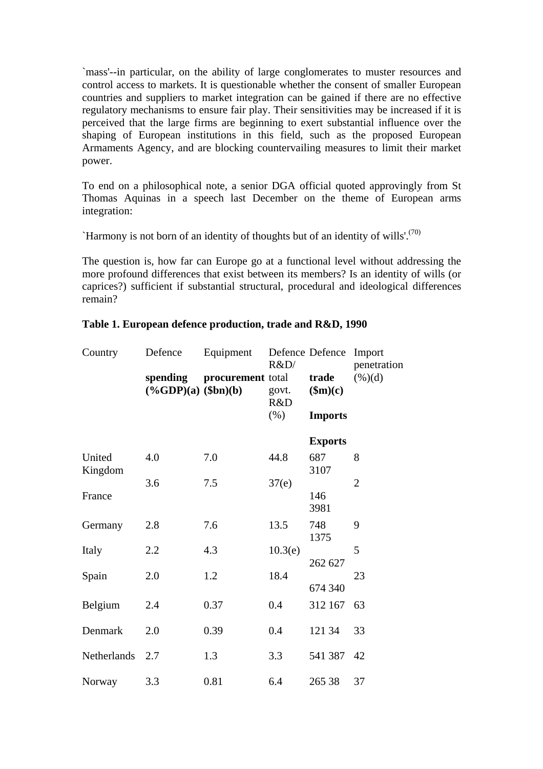`mass'--in particular, on the ability of large conglomerates to muster resources and control access to markets. It is questionable whether the consent of smaller European countries and suppliers to market integration can be gained if there are no effective regulatory mechanisms to ensure fair play. Their sensitivities may be increased if it is perceived that the large firms are beginning to exert substantial influence over the shaping of European institutions in this field, such as the proposed European Armaments Agency, and are blocking countervailing measures to limit their market power.

To end on a philosophical note, a senior DGA official quoted approvingly from St Thomas Aquinas in a speech last December on the theme of European arms integration:

`Harmony is not born of an identity of thoughts but of an identity of wills'.<sup>(70)</sup>

The question is, how far can Europe go at a functional level without addressing the more profound differences that exist between its members? Is an identity of wills (or caprices?) sufficient if substantial structural, procedural and ideological differences remain?

| Country           | Defence                              | Equipment         | R&D/                 | Defence Defence                  | Import<br>penetration |
|-------------------|--------------------------------------|-------------------|----------------------|----------------------------------|-----------------------|
|                   | spending<br>$(\%GDP)(a)$ $(\$bn)(b)$ | procurement total | govt.<br>R&D<br>(% ) | trade<br>\$m)(c)                 | $(\%)(d)$             |
|                   |                                      |                   |                      | <b>Imports</b><br><b>Exports</b> |                       |
| United<br>Kingdom | 4.0                                  | 7.0               | 44.8                 | 687<br>3107                      | 8                     |
| France            | 3.6                                  | 7.5               | 37(e)                | 146<br>3981                      | $\overline{2}$        |
| Germany           | 2.8                                  | 7.6               | 13.5                 | 748<br>1375                      | 9                     |
| Italy             | 2.2                                  | 4.3               | 10.3(e)              | 262 627                          | 5                     |
| Spain             | 2.0                                  | 1.2               | 18.4                 | 674 340                          | 23                    |
| Belgium           | 2.4                                  | 0.37              | 0.4                  | 312 167                          | 63                    |
| Denmark           | 2.0                                  | 0.39              | 0.4                  | 121 34                           | 33                    |
| Netherlands       | 2.7                                  | 1.3               | 3.3                  | 541 387                          | 42                    |
| Norway            | 3.3                                  | 0.81              | 6.4                  | 265 38                           | 37                    |

#### **Table 1. European defence production, trade and R&D, 1990**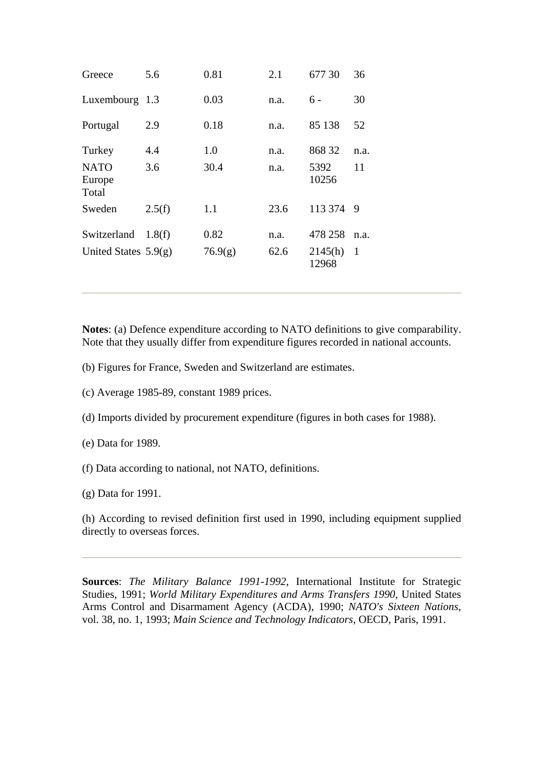| Greece                 | 5.6        | 0.81        | 2.1          | 677 30           | 36         |
|------------------------|------------|-------------|--------------|------------------|------------|
| Luxembourg             | 1.3        | 0.03        | n.a.         | $6 -$            | 30         |
| Portugal               | 2.9        | 0.18        | n.a.         | 85 138           | 52         |
| Turkey<br><b>NATO</b>  | 4.4<br>3.6 | 1.0<br>30.4 | n.a.<br>n.a. | 868 32<br>5392   | n.a.<br>11 |
| Europe<br>Total        |            |             |              | 10256            |            |
| Sweden                 | 2.5(f)     | 1.1         | 23.6         | 113 374          | -9         |
| Switzerland            | 1.8(f)     | 0.82        | n.a.         | 478 258          | n.a.       |
| United States $5.9(g)$ |            | 76.9(g)     | 62.6         | 2145(h)<br>12968 | 1          |

**Notes**: (a) Defence expenditure according to NATO definitions to give comparability. Note that they usually differ from expenditure figures recorded in national accounts.

- (b) Figures for France, Sweden and Switzerland are estimates.
- (c) Average 1985-89, constant 1989 prices.
- (d) Imports divided by procurement expenditure (figures in both cases for 1988).
- (e) Data for 1989.
- (f) Data according to national, not NATO, definitions.
- (g) Data for 1991.

(h) According to revised definition first used in 1990, including equipment supplied directly to overseas forces.

**Sources**: *The Military Balance 1991-1992*, International Institute for Strategic Studies, 1991; *World Military Expenditures and Arms Transfers 1990*, United States Arms Control and Disarmament Agency (ACDA), 1990; *NATO's Sixteen Nations*, vol. 38, no. 1, 1993; *Main Science and Technology Indicators*, OECD, Paris, 1991.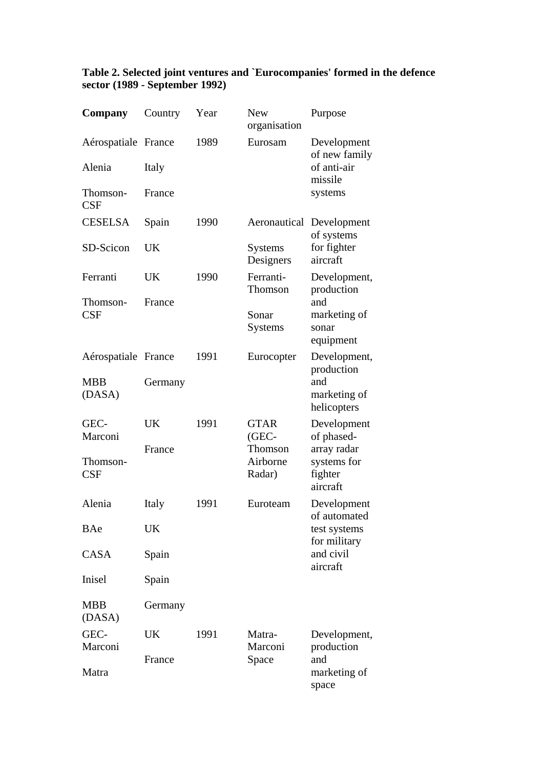| Company              | Country | Year | <b>New</b><br>organisation | Purpose                               |  |
|----------------------|---------|------|----------------------------|---------------------------------------|--|
| Aérospatiale France  |         | 1989 | Eurosam                    | Development<br>of new family          |  |
| Alenia               | Italy   |      |                            | of anti-air<br>missile                |  |
| Thomson-<br>CSF      | France  |      |                            | systems                               |  |
| <b>CESELSA</b>       | Spain   | 1990 | Aeronautical               | Development<br>of systems             |  |
| SD-Scicon            | UK      |      | Systems<br>Designers       | for fighter<br>aircraft               |  |
| Ferranti             | UK      | 1990 | Ferranti-<br>Thomson       | Development,<br>production            |  |
| Thomson-<br>CSF      | France  |      |                            | and                                   |  |
|                      |         |      | Sonar<br>Systems           | marketing of<br>sonar<br>equipment    |  |
| Aérospatiale France  |         | 1991 | Eurocopter                 | Development,<br>production            |  |
| <b>MBB</b>           | Germany |      |                            | and                                   |  |
| (DASA)               |         |      |                            | marketing of<br>helicopters           |  |
| GEC-<br>Marconi      | UK      | 1991 | <b>GTAR</b><br>(GEC-       | Development<br>of phased-             |  |
|                      | France  |      | Thomson                    | array radar                           |  |
| Thomson-<br>CSF      |         |      | Airborne<br>Radar)         | systems for<br>fighter<br>aircraft    |  |
| Alenia               | Italy   | 1991 | Euroteam                   | Development<br>of automated           |  |
| BAe                  | UK      |      |                            | test systems                          |  |
| CASA                 | Spain   |      |                            | for military<br>and civil<br>aircraft |  |
| Inisel               | Spain   |      |                            |                                       |  |
| <b>MBB</b><br>(DASA) | Germany |      |                            |                                       |  |
| GEC-<br>Marconi      | UK      | 1991 | Matra-<br>Marconi          | Development,<br>production            |  |
| Matra                | France  |      | Space                      | and<br>marketing of<br>space          |  |

#### **Table 2. Selected joint ventures and `Eurocompanies' formed in the defence sector (1989 - September 1992)**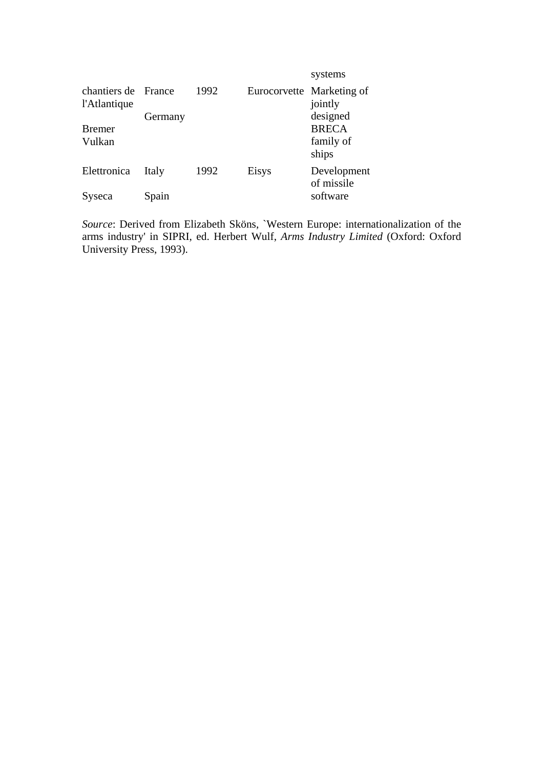|                              |         |      |                           | systems                   |
|------------------------------|---------|------|---------------------------|---------------------------|
| chantiers de<br>l'Atlantique | France  | 1992 | Eurocorvette Marketing of | jointly                   |
|                              | Germany |      |                           | designed                  |
| <b>Bremer</b>                |         |      |                           | <b>BRECA</b>              |
| Vulkan                       |         |      |                           | family of<br>ships        |
| Elettronica                  | Italy   | 1992 | Eisys                     | Development<br>of missile |
| Syseca                       | Spain   |      |                           | software                  |

*Source*: Derived from Elizabeth Sköns, `Western Europe: internationalization of the arms industry' in SIPRI, ed. Herbert Wulf, *Arms Industry Limited* (Oxford: Oxford University Press, 1993).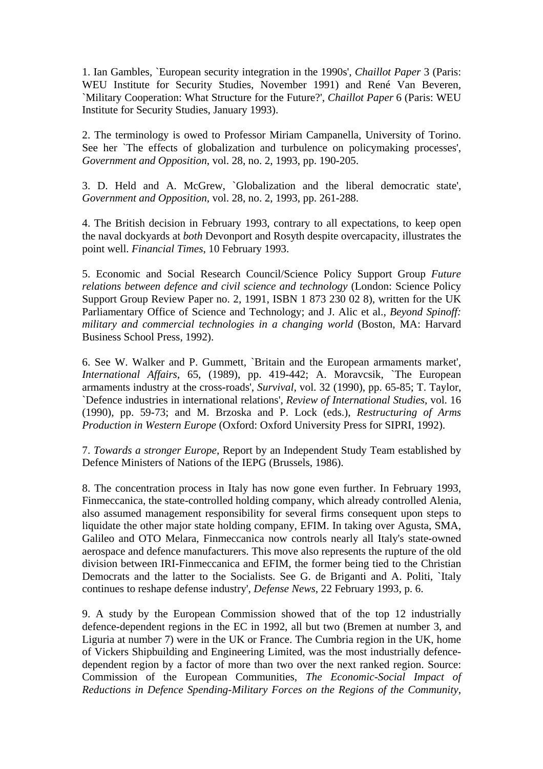1. Ian Gambles, `European security integration in the 1990s', *Chaillot Paper* 3 (Paris: WEU Institute for Security Studies, November 1991) and René Van Beveren, `Military Cooperation: What Structure for the Future?', *Chaillot Paper* 6 (Paris: WEU Institute for Security Studies, January 1993).

2. The terminology is owed to Professor Miriam Campanella, University of Torino. See her `The effects of globalization and turbulence on policymaking processes', *Government and Opposition*, vol. 28, no. 2, 1993, pp. 190-205.

3. D. Held and A. McGrew, `Globalization and the liberal democratic state', *Government and Opposition*, vol. 28, no. 2, 1993, pp. 261-288.

4. The British decision in February 1993, contrary to all expectations, to keep open the naval dockyards at *both* Devonport and Rosyth despite overcapacity, illustrates the point well. *Financial Times*, 10 February 1993.

5. Economic and Social Research Council/Science Policy Support Group *Future relations between defence and civil science and technology* (London: Science Policy Support Group Review Paper no. 2, 1991, ISBN 1 873 230 02 8), written for the UK Parliamentary Office of Science and Technology; and J. Alic et al., *Beyond Spinoff: military and commercial technologies in a changing world* (Boston, MA: Harvard Business School Press, 1992).

6. See W. Walker and P. Gummett, `Britain and the European armaments market', *International Affairs*, 65, (1989), pp. 419-442; A. Moravcsik, `The European armaments industry at the cross-roads', *Survival*, vol. 32 (1990), pp. 65-85; T. Taylor, `Defence industries in international relations', *Review of International Studies*, vol. 16 (1990), pp. 59-73; and M. Brzoska and P. Lock (eds.), *Restructuring of Arms Production in Western Europe* (Oxford: Oxford University Press for SIPRI, 1992).

7. *Towards a stronger Europe*, Report by an Independent Study Team established by Defence Ministers of Nations of the IEPG (Brussels, 1986).

8. The concentration process in Italy has now gone even further. In February 1993, Finmeccanica, the state-controlled holding company, which already controlled Alenia, also assumed management responsibility for several firms consequent upon steps to liquidate the other major state holding company, EFIM. In taking over Agusta, SMA, Galileo and OTO Melara, Finmeccanica now controls nearly all Italy's state-owned aerospace and defence manufacturers. This move also represents the rupture of the old division between IRI-Finmeccanica and EFIM, the former being tied to the Christian Democrats and the latter to the Socialists. See G. de Briganti and A. Politi, `Italy continues to reshape defense industry', *Defense News*, 22 February 1993, p. 6.

9. A study by the European Commission showed that of the top 12 industrially defence-dependent regions in the EC in 1992, all but two (Bremen at number 3, and Liguria at number 7) were in the UK or France. The Cumbria region in the UK, home of Vickers Shipbuilding and Engineering Limited, was the most industrially defencedependent region by a factor of more than two over the next ranked region. Source: Commission of the European Communities, *The Economic-Social Impact of Reductions in Defence Spending-Military Forces on the Regions of the Community*,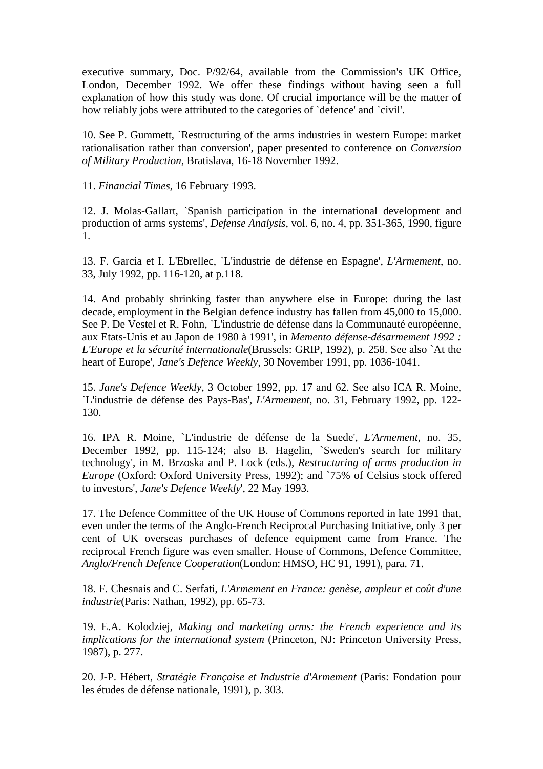executive summary, Doc. P/92/64, available from the Commission's UK Office, London, December 1992. We offer these findings without having seen a full explanation of how this study was done. Of crucial importance will be the matter of how reliably jobs were attributed to the categories of `defence' and `civil'.

10. See P. Gummett, `Restructuring of the arms industries in western Europe: market rationalisation rather than conversion', paper presented to conference on *Conversion of Military Production*, Bratislava, 16-18 November 1992.

11. *Financial Times*, 16 February 1993.

12. J. Molas-Gallart, `Spanish participation in the international development and production of arms systems', *Defense Analysis*, vol. 6, no. 4, pp. 351-365, 1990, figure 1.

13. F. Garcia et I. L'Ebrellec, `L'industrie de défense en Espagne', *L'Armement*, no. 33, July 1992, pp. 116-120, at p.118.

14. And probably shrinking faster than anywhere else in Europe: during the last decade, employment in the Belgian defence industry has fallen from 45,000 to 15,000. See P. De Vestel et R. Fohn, `L'industrie de défense dans la Communauté européenne, aux Etats-Unis et au Japon de 1980 à 1991', in *Memento défense-désarmement 1992 : L'Europe et la sécurité internationale*(Brussels: GRIP, 1992), p. 258. See also `At the heart of Europe', *Jane's Defence Weekly*, 30 November 1991, pp. 1036-1041.

15. *Jane's Defence Weekly*, 3 October 1992, pp. 17 and 62. See also ICA R. Moine, `L'industrie de défense des Pays-Bas', *L'Armement*, no. 31, February 1992, pp. 122- 130.

16. IPA R. Moine, `L'industrie de défense de la Suede', *L'Armement*, no. 35, December 1992, pp. 115-124; also B. Hagelin, `Sweden's search for military technology', in M. Brzoska and P. Lock (eds.), *Restructuring of arms production in Europe* (Oxford: Oxford University Press, 1992); and `75% of Celsius stock offered to investors', *Jane's Defence Weekly*', 22 May 1993.

17. The Defence Committee of the UK House of Commons reported in late 1991 that, even under the terms of the Anglo-French Reciprocal Purchasing Initiative, only 3 per cent of UK overseas purchases of defence equipment came from France. The reciprocal French figure was even smaller. House of Commons, Defence Committee, *Anglo/French Defence Cooperation*(London: HMSO, HC 91, 1991), para. 71.

18. F. Chesnais and C. Serfati, *L'Armement en France: genèse, ampleur et coût d'une industrie*(Paris: Nathan, 1992), pp. 65-73.

19. E.A. Kolodziej, *Making and marketing arms: the French experience and its implications for the international system* (Princeton, NJ: Princeton University Press, 1987), p. 277.

20. J-P. Hébert, *Stratégie Française et Industrie d'Armement* (Paris: Fondation pour les études de défense nationale, 1991), p. 303.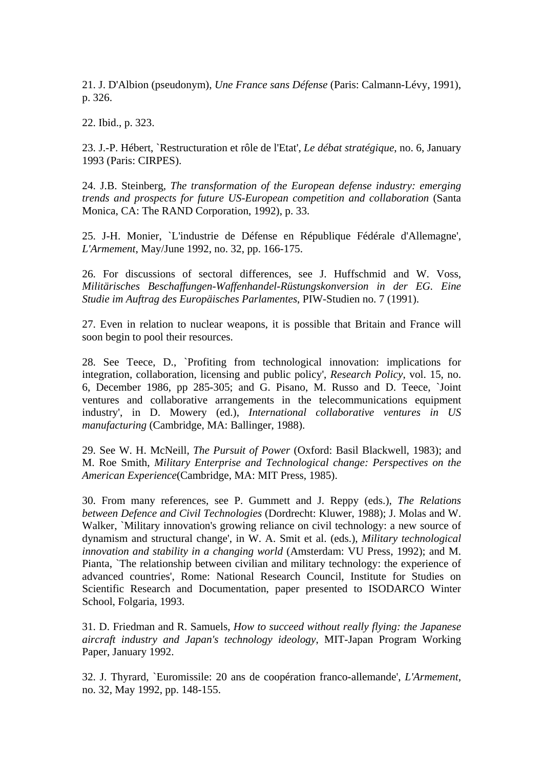21. J. D'Albion (pseudonym), *Une France sans Défense* (Paris: Calmann-Lévy, 1991), p. 326.

22. Ibid., p. 323.

23. J.-P. Hébert, `Restructuration et rôle de l'Etat', *Le débat stratégique*, no. 6, January 1993 (Paris: CIRPES).

24. J.B. Steinberg, *The transformation of the European defense industry: emerging trends and prospects for future US-European competition and collaboration* (Santa Monica, CA: The RAND Corporation, 1992), p. 33.

25. J-H. Monier, `L'industrie de Défense en République Fédérale d'Allemagne', *L'Armement*, May/June 1992, no. 32, pp. 166-175.

26. For discussions of sectoral differences, see J. Huffschmid and W. Voss, *Militärisches Beschaffungen-Waffenhandel-Rüstungskonversion in der EG. Eine Studie im Auftrag des Europäisches Parlamentes*, PIW-Studien no. 7 (1991).

27. Even in relation to nuclear weapons, it is possible that Britain and France will soon begin to pool their resources.

28. See Teece, D., `Profiting from technological innovation: implications for integration, collaboration, licensing and public policy', *Research Policy*, vol. 15, no. 6, December 1986, pp 285-305; and G. Pisano, M. Russo and D. Teece, `Joint ventures and collaborative arrangements in the telecommunications equipment industry', in D. Mowery (ed.), *International collaborative ventures in US manufacturing* (Cambridge, MA: Ballinger, 1988).

29. See W. H. McNeill, *The Pursuit of Power* (Oxford: Basil Blackwell, 1983); and M. Roe Smith, *Military Enterprise and Technological change: Perspectives on the American Experience*(Cambridge, MA: MIT Press, 1985).

30. From many references, see P. Gummett and J. Reppy (eds.), *The Relations between Defence and Civil Technologies* (Dordrecht: Kluwer, 1988); J. Molas and W. Walker, `Military innovation's growing reliance on civil technology: a new source of dynamism and structural change', in W. A. Smit et al. (eds.), *Military technological innovation and stability in a changing world* (Amsterdam: VU Press, 1992); and M. Pianta, `The relationship between civilian and military technology: the experience of advanced countries', Rome: National Research Council, Institute for Studies on Scientific Research and Documentation, paper presented to ISODARCO Winter School, Folgaria, 1993.

31. D. Friedman and R. Samuels, *How to succeed without really flying: the Japanese aircraft industry and Japan's technology ideology*, MIT-Japan Program Working Paper, January 1992.

32. J. Thyrard, `Euromissile: 20 ans de coopération franco-allemande', *L'Armement*, no. 32, May 1992, pp. 148-155.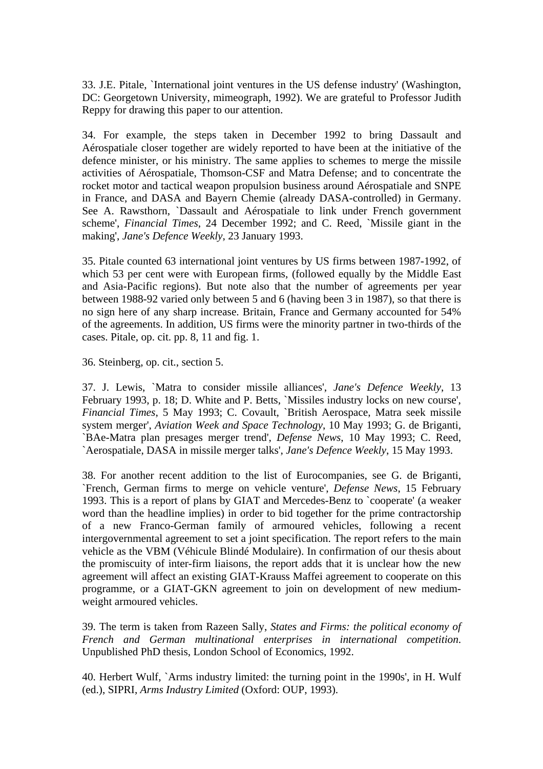33. J.E. Pitale, `International joint ventures in the US defense industry' (Washington, DC: Georgetown University, mimeograph, 1992). We are grateful to Professor Judith Reppy for drawing this paper to our attention.

34. For example, the steps taken in December 1992 to bring Dassault and Aérospatiale closer together are widely reported to have been at the initiative of the defence minister, or his ministry. The same applies to schemes to merge the missile activities of Aérospatiale, Thomson-CSF and Matra Defense; and to concentrate the rocket motor and tactical weapon propulsion business around Aérospatiale and SNPE in France, and DASA and Bayern Chemie (already DASA-controlled) in Germany. See A. Rawsthorn, `Dassault and Aérospatiale to link under French government scheme', *Financial Times*, 24 December 1992; and C. Reed, `Missile giant in the making', *Jane's Defence Weekly*, 23 January 1993.

35. Pitale counted 63 international joint ventures by US firms between 1987-1992, of which 53 per cent were with European firms, (followed equally by the Middle East and Asia-Pacific regions). But note also that the number of agreements per year between 1988-92 varied only between 5 and 6 (having been 3 in 1987), so that there is no sign here of any sharp increase. Britain, France and Germany accounted for 54% of the agreements. In addition, US firms were the minority partner in two-thirds of the cases. Pitale, op. cit. pp. 8, 11 and fig. 1.

36. Steinberg, op. cit., section 5.

37. J. Lewis, `Matra to consider missile alliances', *Jane's Defence Weekly*, 13 February 1993, p. 18; D. White and P. Betts, `Missiles industry locks on new course', *Financial Times*, 5 May 1993; C. Covault, `British Aerospace, Matra seek missile system merger', *Aviation Week and Space Technology*, 10 May 1993; G. de Briganti, `BAe-Matra plan presages merger trend', *Defense News*, 10 May 1993; C. Reed, `Aerospatiale, DASA in missile merger talks', *Jane's Defence Weekly*, 15 May 1993.

38. For another recent addition to the list of Eurocompanies, see G. de Briganti, `French, German firms to merge on vehicle venture', *Defense News*, 15 February 1993. This is a report of plans by GIAT and Mercedes-Benz to `cooperate' (a weaker word than the headline implies) in order to bid together for the prime contractorship of a new Franco-German family of armoured vehicles, following a recent intergovernmental agreement to set a joint specification. The report refers to the main vehicle as the VBM (Véhicule Blindé Modulaire). In confirmation of our thesis about the promiscuity of inter-firm liaisons, the report adds that it is unclear how the new agreement will affect an existing GIAT-Krauss Maffei agreement to cooperate on this programme, or a GIAT-GKN agreement to join on development of new mediumweight armoured vehicles.

39. The term is taken from Razeen Sally, *States and Firms: the political economy of French and German multinational enterprises in international competition*. Unpublished PhD thesis, London School of Economics, 1992.

40. Herbert Wulf, `Arms industry limited: the turning point in the 1990s', in H. Wulf (ed.), SIPRI, *Arms Industry Limited* (Oxford: OUP, 1993).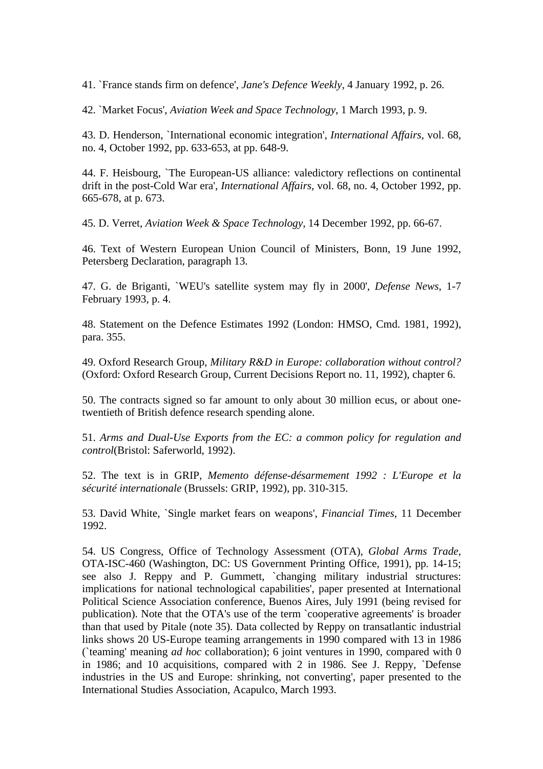41. `France stands firm on defence', *Jane's Defence Weekly*, 4 January 1992, p. 26.

42. `Market Focus', *Aviation Week and Space Technology*, 1 March 1993, p. 9.

43. D. Henderson, `International economic integration', *International Affairs*, vol. 68, no. 4, October 1992, pp. 633-653, at pp. 648-9.

44. F. Heisbourg, `The European-US alliance: valedictory reflections on continental drift in the post-Cold War era', *International Affairs*, vol. 68, no. 4, October 1992, pp. 665-678, at p. 673.

45. D. Verret, *Aviation Week & Space Technology*, 14 December 1992, pp. 66-67.

46. Text of Western European Union Council of Ministers, Bonn, 19 June 1992, Petersberg Declaration, paragraph 13.

47. G. de Briganti, `WEU's satellite system may fly in 2000', *Defense News*, 1-7 February 1993, p. 4.

48. Statement on the Defence Estimates 1992 (London: HMSO, Cmd. 1981, 1992), para. 355.

49. Oxford Research Group, *Military R&D in Europe: collaboration without control?* (Oxford: Oxford Research Group, Current Decisions Report no. 11, 1992), chapter 6.

50. The contracts signed so far amount to only about 30 million ecus, or about onetwentieth of British defence research spending alone.

51. *Arms and Dual-Use Exports from the EC: a common policy for regulation and control*(Bristol: Saferworld, 1992).

52. The text is in GRIP, *Memento défense-désarmement 1992 : L'Europe et la sécurité internationale* (Brussels: GRIP, 1992), pp. 310-315.

53. David White, `Single market fears on weapons', *Financial Times*, 11 December 1992.

54. US Congress, Office of Technology Assessment (OTA), *Global Arms Trade*, OTA-ISC-460 (Washington, DC: US Government Printing Office, 1991), pp. 14-15; see also J. Reppy and P. Gummett, `changing military industrial structures: implications for national technological capabilities', paper presented at International Political Science Association conference, Buenos Aires, July 1991 (being revised for publication). Note that the OTA's use of the term `cooperative agreements' is broader than that used by Pitale (note 35). Data collected by Reppy on transatlantic industrial links shows 20 US-Europe teaming arrangements in 1990 compared with 13 in 1986 (`teaming' meaning *ad hoc* collaboration); 6 joint ventures in 1990, compared with 0 in 1986; and 10 acquisitions, compared with 2 in 1986. See J. Reppy, `Defense industries in the US and Europe: shrinking, not converting', paper presented to the International Studies Association, Acapulco, March 1993.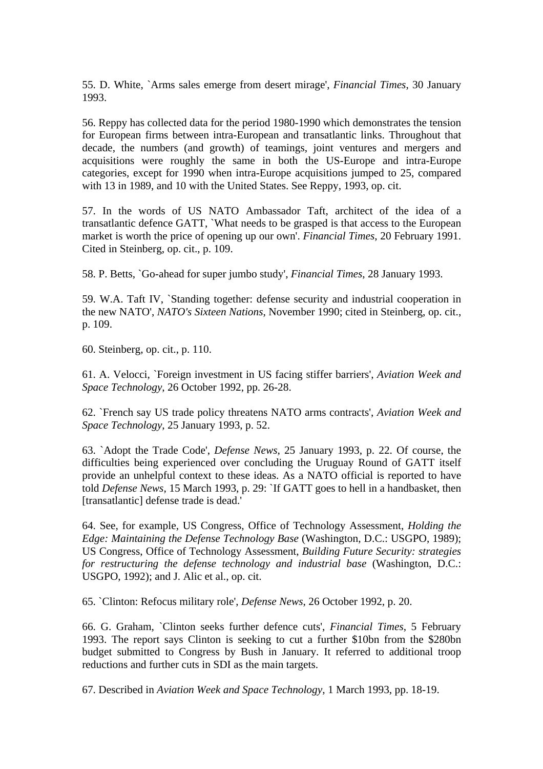55. D. White, `Arms sales emerge from desert mirage', *Financial Times*, 30 January 1993.

56. Reppy has collected data for the period 1980-1990 which demonstrates the tension for European firms between intra-European and transatlantic links. Throughout that decade, the numbers (and growth) of teamings, joint ventures and mergers and acquisitions were roughly the same in both the US-Europe and intra-Europe categories, except for 1990 when intra-Europe acquisitions jumped to 25, compared with 13 in 1989, and 10 with the United States. See Reppy, 1993, op. cit.

57. In the words of US NATO Ambassador Taft, architect of the idea of a transatlantic defence GATT, `What needs to be grasped is that access to the European market is worth the price of opening up our own'. *Financial Times*, 20 February 1991. Cited in Steinberg, op. cit., p. 109.

58. P. Betts, `Go-ahead for super jumbo study', *Financial Times*, 28 January 1993.

59. W.A. Taft IV, `Standing together: defense security and industrial cooperation in the new NATO', *NATO's Sixteen Nations*, November 1990; cited in Steinberg, op. cit., p. 109.

60. Steinberg, op. cit., p. 110.

61. A. Velocci, `Foreign investment in US facing stiffer barriers', *Aviation Week and Space Technology*, 26 October 1992, pp. 26-28.

62. `French say US trade policy threatens NATO arms contracts', *Aviation Week and Space Technology*, 25 January 1993, p. 52.

63. `Adopt the Trade Code', *Defense News*, 25 January 1993, p. 22. Of course, the difficulties being experienced over concluding the Uruguay Round of GATT itself provide an unhelpful context to these ideas. As a NATO official is reported to have told *Defense News*, 15 March 1993, p. 29: `If GATT goes to hell in a handbasket, then [transatlantic] defense trade is dead.'

64. See, for example, US Congress, Office of Technology Assessment, *Holding the Edge: Maintaining the Defense Technology Base* (Washington, D.C.: USGPO, 1989); US Congress, Office of Technology Assessment, *Building Future Security: strategies for restructuring the defense technology and industrial base* (Washington, D.C.: USGPO, 1992); and J. Alic et al., op. cit.

65. `Clinton: Refocus military role', *Defense News*, 26 October 1992, p. 20.

66. G. Graham, `Clinton seeks further defence cuts', *Financial Times*, 5 February 1993. The report says Clinton is seeking to cut a further \$10bn from the \$280bn budget submitted to Congress by Bush in January. It referred to additional troop reductions and further cuts in SDI as the main targets.

67. Described in *Aviation Week and Space Technology*, 1 March 1993, pp. 18-19.